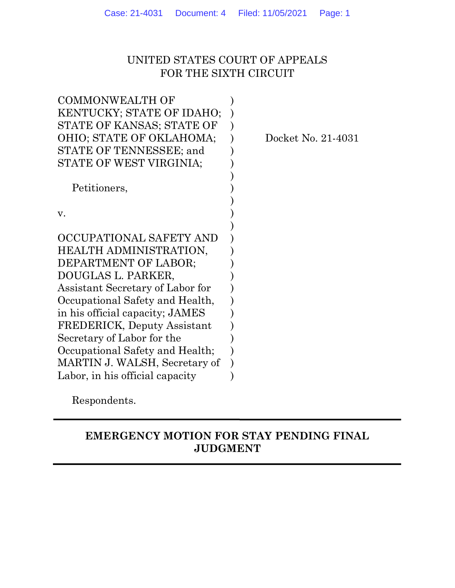## UNITED STATES COURT OF APPEALS FOR THE SIXTH CIRCUIT

| <b>COMMONWEALTH OF</b>             |                    |
|------------------------------------|--------------------|
| KENTUCKY; STATE OF IDAHO;          |                    |
| STATE OF KANSAS; STATE OF          |                    |
| OHIO; STATE OF OKLAHOMA;           | Docket No. 21-4031 |
| STATE OF TENNESSEE; and            |                    |
| STATE OF WEST VIRGINIA;            |                    |
|                                    |                    |
| Petitioners,                       |                    |
|                                    |                    |
| V.                                 |                    |
|                                    |                    |
| OCCUPATIONAL SAFETY AND            |                    |
| HEALTH ADMINISTRATION,             |                    |
| DEPARTMENT OF LABOR;               |                    |
| DOUGLAS L. PARKER,                 |                    |
| Assistant Secretary of Labor for   |                    |
| Occupational Safety and Health,    |                    |
| in his official capacity; JAMES    |                    |
| <b>FREDERICK, Deputy Assistant</b> |                    |
| Secretary of Labor for the         |                    |
| Occupational Safety and Health;    |                    |
| MARTIN J. WALSH, Secretary of      |                    |
| Labor, in his official capacity    |                    |
|                                    |                    |

Respondents.

## EMERGENCY MOTION FOR STAY PENDING FINAL JUDGMENT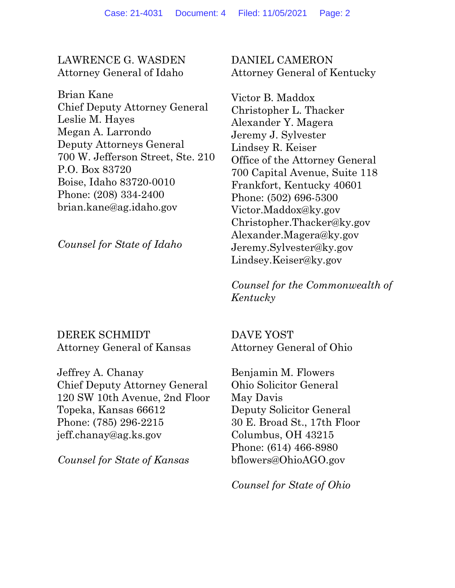### LAWRENCE G. WASDEN Attorney General of Idaho

Brian Kane Chief Deputy Attorney General Leslie M. Hayes Megan A. Larrondo Deputy Attorneys General 700 W. Jefferson Street, Ste. 210 P.O. Box 83720 Boise, Idaho 83720-0010 Phone: (208) 334-2400 brian.kane@ag.idaho.gov

Counsel for State of Idaho

DANIEL CAMERON Attorney General of Kentucky

Victor B. Maddox Christopher L. Thacker Alexander Y. Magera Jeremy J. Sylvester Lindsey R. Keiser Office of the Attorney General 700 Capital Avenue, Suite 118 Frankfort, Kentucky 40601 Phone: (502) 696-5300 Victor.Maddox@ky.gov Christopher.Thacker@ky.gov Alexander.Magera@ky.gov Jeremy.Sylvester@ky.gov Lindsey.Keiser@ky.gov

Counsel for the Commonwealth of Kentucky

### DEREK SCHMIDT Attorney General of Kansas

Jeffrey A. Chanay Chief Deputy Attorney General 120 SW 10th Avenue, 2nd Floor Topeka, Kansas 66612 Phone: (785) 296-2215 jeff.chanay@ag.ks.gov

Counsel for State of Kansas

DAVE YOST Attorney General of Ohio

Benjamin M. Flowers Ohio Solicitor General May Davis Deputy Solicitor General 30 E. Broad St., 17th Floor Columbus, OH 43215 Phone: (614) 466-8980 bflowers@OhioAGO.gov

Counsel for State of Ohio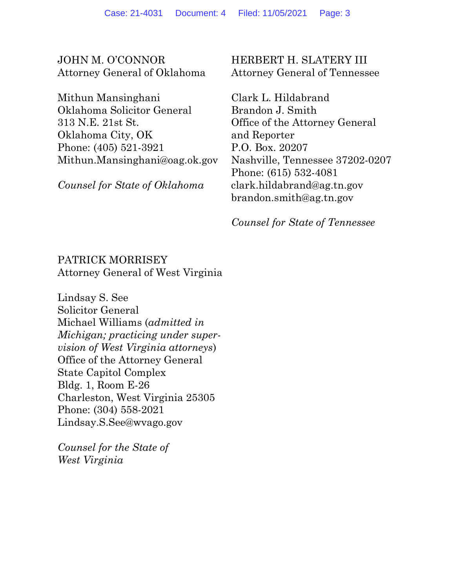JOHN M. O'CONNOR Attorney General of Oklahoma

Mithun Mansinghani Oklahoma Solicitor General 313 N.E. 21st St. Oklahoma City, OK Phone: (405) 521-3921 Mithun.Mansinghani@oag.ok.gov

Counsel for State of Oklahoma

### HERBERT H. SLATERY III Attorney General of Tennessee

Clark L. Hildabrand Brandon J. Smith Office of the Attorney General and Reporter P.O. Box. 20207 Nashville, Tennessee 37202-0207 Phone: (615) 532-4081 clark.hildabrand@ag.tn.gov brandon.smith@ag.tn.gov

Counsel for State of Tennessee

## PATRICK MORRISEY Attorney General of West Virginia

Lindsay S. See Solicitor General Michael Williams (admitted in Michigan; practicing under supervision of West Virginia attorneys) Office of the Attorney General State Capitol Complex Bldg. 1, Room E-26 Charleston, West Virginia 25305 Phone: (304) 558-2021 Lindsay.S.See@wvago.gov

Counsel for the State of West Virginia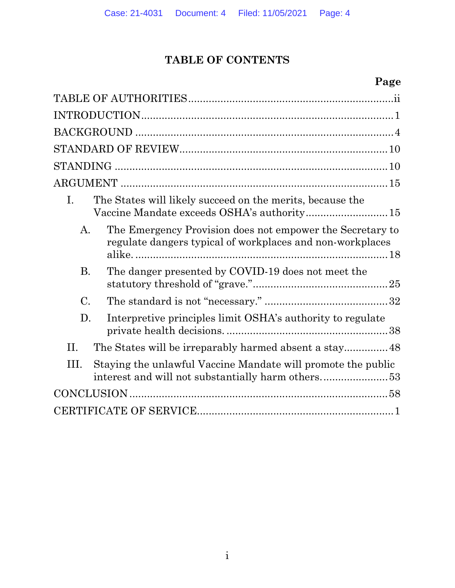# TABLE OF CONTENTS

## Page

| The States will likely succeed on the merits, because the<br>L.<br>Vaccine Mandate exceeds OSHA's authority 15               |
|------------------------------------------------------------------------------------------------------------------------------|
| The Emergency Provision does not empower the Secretary to<br>A.<br>regulate dangers typical of workplaces and non-workplaces |
| The danger presented by COVID-19 does not meet the<br><b>B.</b>                                                              |
| $\mathcal{C}$ .                                                                                                              |
| D.<br>Interpretive principles limit OSHA's authority to regulate                                                             |
| II.<br>The States will be irreparably harmed absent a stay 48                                                                |
| Staying the unlawful Vaccine Mandate will promote the public<br>III.                                                         |
|                                                                                                                              |
|                                                                                                                              |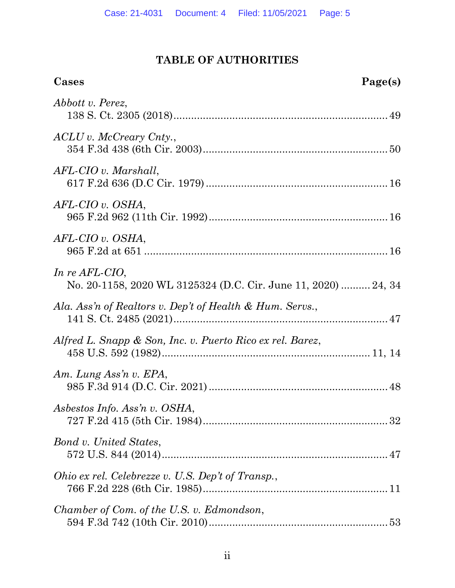# TABLE OF AUTHORITIES

| Cases<br>Page(s)                                                                 |
|----------------------------------------------------------------------------------|
| Abbott v. Perez,                                                                 |
| ACLU v. McCreary Cnty.,                                                          |
| $AFL-CIO$ v. Marshall,                                                           |
| $AFL-CIO$ v. $OSHA$ ,                                                            |
| $AFL-CIO$ v. $OSHA$ ,                                                            |
| In re AFL-CIO,<br>No. 20-1158, 2020 WL 3125324 (D.C. Cir. June 11, 2020)  24, 34 |
| Ala. Ass'n of Realtors v. Dep't of Health & Hum. Servs.,                         |
| Alfred L. Snapp & Son, Inc. v. Puerto Rico ex rel. Barez,                        |
| Am. Lung Ass'n v. EPA,                                                           |
| Asbestos Info. Ass'n v. OSHA,                                                    |
| Bond v. United States,                                                           |
| Ohio ex rel. Celebrezze v. U.S. Dep't of Transp.,                                |
| Chamber of Com. of the U.S. v. Edmondson,                                        |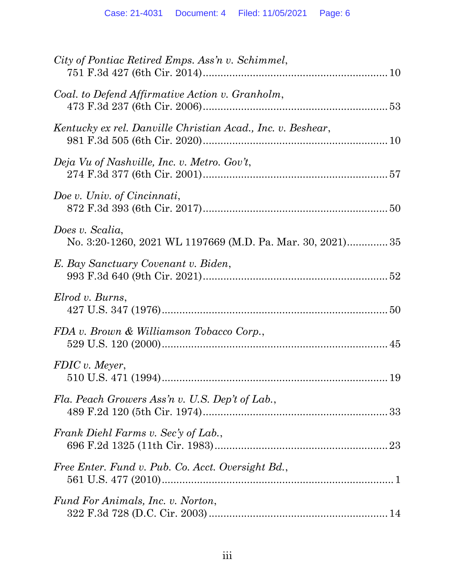| City of Pontiac Retired Emps. Ass'n v. Schimmel,                              |
|-------------------------------------------------------------------------------|
| Coal. to Defend Affirmative Action v. Granholm,                               |
| Kentucky ex rel. Danville Christian Acad., Inc. v. Beshear,                   |
| Deja Vu of Nashville, Inc. v. Metro. Gov't,                                   |
| Doe v. Univ. of Cincinnati,                                                   |
| Does v. Scalia,<br>No. 3:20-1260, 2021 WL 1197669 (M.D. Pa. Mar. 30, 2021) 35 |
| E. Bay Sanctuary Covenant v. Biden,                                           |
| Elrod v. Burns,                                                               |
| FDA v. Brown & Williamson Tobacco Corp.,                                      |
| FDIC v. Meyer,                                                                |
| Fla. Peach Growers Ass'n v. U.S. Dep't of Lab.,                               |
| Frank Diehl Farms v. Sec'y of Lab.,                                           |
| Free Enter. Fund v. Pub. Co. Acct. Oversight Bd.,                             |
| Fund For Animals, Inc. v. Norton,                                             |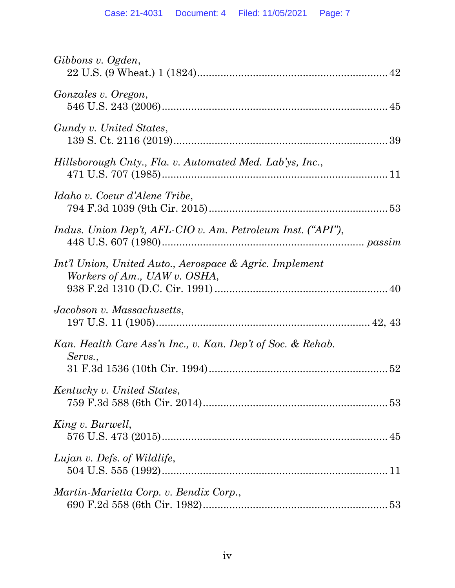| Gibbons v. Ogden,                                                                       |
|-----------------------------------------------------------------------------------------|
| Gonzales v. Oregon,                                                                     |
| Gundy v. United States,                                                                 |
| Hillsborough Cnty., Fla. v. Automated Med. Lab'ys, Inc.,                                |
| Idaho v. Coeur d'Alene Tribe,                                                           |
| Indus. Union Dep't, AFL-CIO v. Am. Petroleum Inst. ("API"),                             |
| Int'l Union, United Auto., Aerospace & Agric. Implement<br>Workers of Am., UAW v. OSHA, |
| Jacobson v. Massachusetts,                                                              |
| Kan. Health Care Ass'n Inc., v. Kan. Dep't of Soc. & Rehab.<br>Servs.,                  |
| Kentucky v. United States,                                                              |
| King v. Burwell,                                                                        |
| Lujan v. Defs. of Wildlife,                                                             |
| Martin-Marietta Corp. v. Bendix Corp.,                                                  |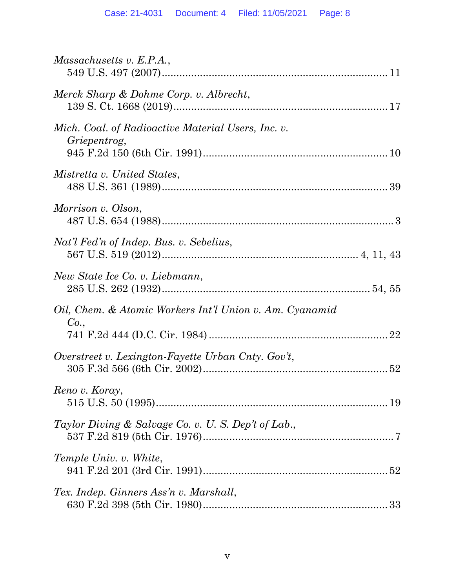| <i>Massachusetts v. E.P.A.</i> ,                                   |
|--------------------------------------------------------------------|
| Merck Sharp & Dohme Corp. v. Albrecht,                             |
| Mich. Coal. of Radioactive Material Users, Inc. v.<br>Griepentrog, |
| Mistretta v. United States,                                        |
| Morrison v. Olson,                                                 |
| Nat'l Fed'n of Indep. Bus. v. Sebelius,                            |
| New State Ice Co. v. Liebmann,                                     |
| Oil, Chem. & Atomic Workers Int'l Union v. Am. Cyanamid<br>Co.,    |
| Overstreet v. Lexington-Fayette Urban Cnty. Gov't,                 |
| Reno v. Koray,                                                     |
| Taylor Diving & Salvage Co. v. U.S. Dep't of Lab.,                 |
| Temple Univ. v. White,                                             |
| Tex. Indep. Ginners Ass'n v. Marshall,                             |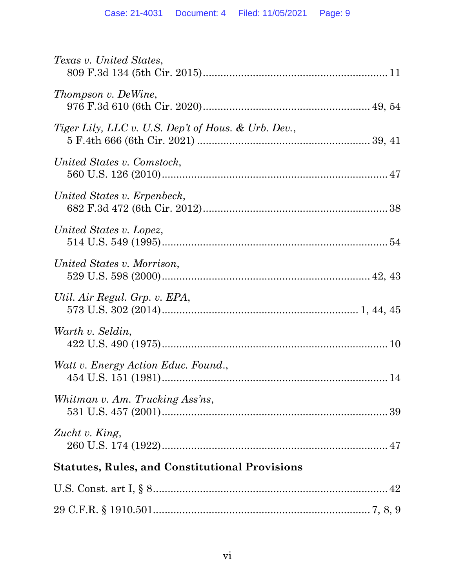| Texas v. United States,                               |
|-------------------------------------------------------|
| Thompson v. DeWine,                                   |
| Tiger Lily, LLC v. U.S. Dep't of Hous. & Urb. Dev.,   |
| United States v. Comstock,                            |
| United States v. Erpenbeck,                           |
| United States v. Lopez,                               |
| United States v. Morrison,                            |
| Util. Air Regul. Grp. v. EPA,                         |
| Warth v. Seldin,                                      |
| Watt v. Energy Action Educ. Found.,                   |
| Whitman v. Am. Trucking Ass'ns,                       |
| Zucht v. King,                                        |
| <b>Statutes, Rules, and Constitutional Provisions</b> |
|                                                       |

29 C.F.R. § 1910.501.......................................................................... 7, 8, 9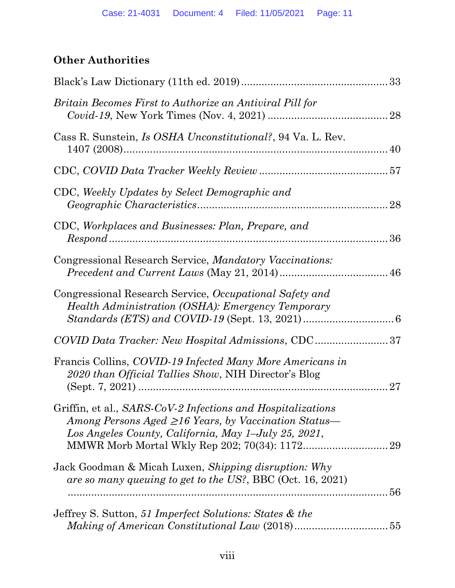# Other Authorities

| Britain Becomes First to Authorize an Antiviral Pill for                                                                                                                          |    |
|-----------------------------------------------------------------------------------------------------------------------------------------------------------------------------------|----|
| Cass R. Sunstein, <i>Is OSHA Unconstitutional?</i> , 94 Va. L. Rev.                                                                                                               |    |
|                                                                                                                                                                                   |    |
| CDC, Weekly Updates by Select Demographic and                                                                                                                                     |    |
| CDC, Workplaces and Businesses: Plan, Prepare, and                                                                                                                                |    |
| Congressional Research Service, Mandatory Vaccinations:                                                                                                                           |    |
| Congressional Research Service, Occupational Safety and<br><i>Health Administration (OSHA): Emergency Temporary</i>                                                               |    |
| COVID Data Tracker: New Hospital Admissions, CDC37                                                                                                                                |    |
| Francis Collins, COVID-19 Infected Many More Americans in<br>2020 than Official Tallies Show, NIH Director's Blog                                                                 | 27 |
| Griffin, et al., SARS-CoV-2 Infections and Hospitalizations<br>Among Persons Aged $\geq 16$ Years, by Vaccination Status—<br>Los Angeles County, California, May 1–July 25, 2021, |    |
| Jack Goodman & Micah Luxen, Shipping disruption: Why<br>are so many queuing to get to the US?, BBC (Oct. 16, 2021)                                                                |    |
| Jeffrey S. Sutton, 51 Imperfect Solutions: States & the                                                                                                                           |    |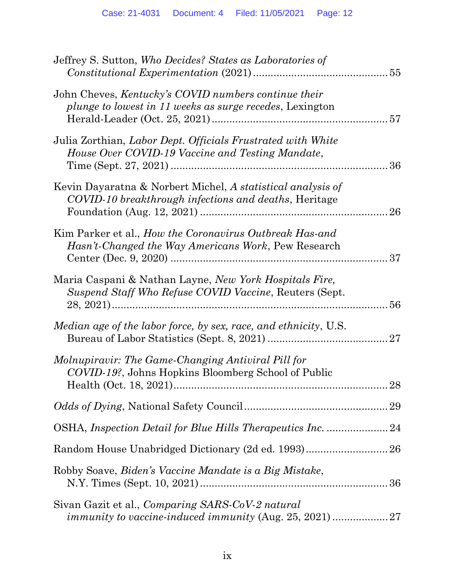| Jeffrey S. Sutton, Who Decides? States as Laboratories of                                                            |
|----------------------------------------------------------------------------------------------------------------------|
| John Cheves, Kentucky's COVID numbers continue their<br>plunge to lowest in 11 weeks as surge recedes, Lexington     |
| Julia Zorthian, Labor Dept. Officials Frustrated with White<br>House Over COVID-19 Vaccine and Testing Mandate,      |
| Kevin Dayaratna & Norbert Michel, A statistical analysis of<br>COVID-10 breakthrough infections and deaths, Heritage |
| Kim Parker et al., How the Coronavirus Outbreak Has-and<br>Hasn't-Changed the Way Americans Work, Pew Research       |
| Maria Caspani & Nathan Layne, New York Hospitals Fire,<br>Suspend Staff Who Refuse COVID Vaccine, Reuters (Sept.     |
| Median age of the labor force, by sex, race, and ethnicity, U.S.                                                     |
| Molnupiravir: The Game-Changing Antiviral Pill for<br>COVID-19?, Johns Hopkins Bloomberg School of Public<br>28      |
|                                                                                                                      |
| OSHA, Inspection Detail for Blue Hills Therapeutics Inc. 24                                                          |
|                                                                                                                      |
| Robby Soave, Biden's Vaccine Mandate is a Big Mistake,                                                               |
| Sivan Gazit et al., Comparing SARS-CoV-2 natural                                                                     |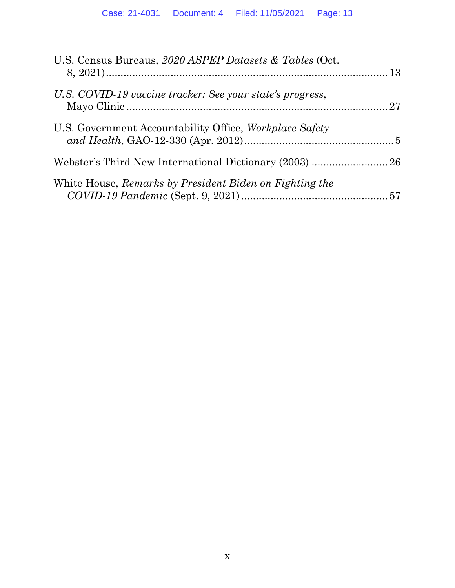| U.S. Census Bureaus, 2020 ASPEP Datasets & Tables (Oct.        |  |
|----------------------------------------------------------------|--|
| U.S. COVID-19 vaccine tracker: See your state's progress,      |  |
| U.S. Government Accountability Office, <i>Workplace Safety</i> |  |
|                                                                |  |
| White House, Remarks by President Biden on Fighting the        |  |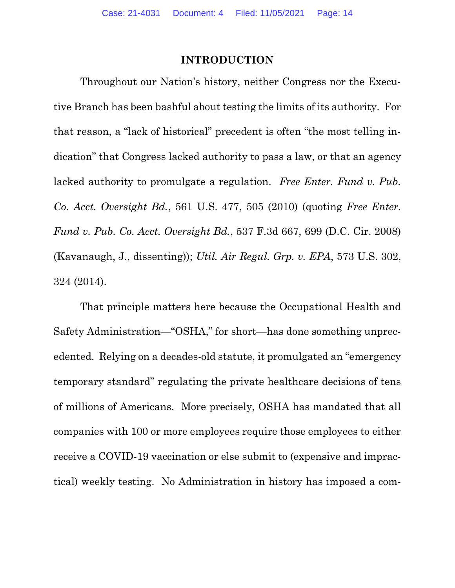### INTRODUCTION

Throughout our Nation's history, neither Congress nor the Executive Branch has been bashful about testing the limits of its authority. For that reason, a "lack of historical" precedent is often "the most telling indication" that Congress lacked authority to pass a law, or that an agency lacked authority to promulgate a regulation. Free Enter. Fund v. Pub. Co. Acct. Oversight Bd., 561 U.S. 477, 505 (2010) (quoting Free Enter. Fund v. Pub. Co. Acct. Oversight Bd., 537 F.3d 667, 699 (D.C. Cir. 2008) (Kavanaugh, J., dissenting)); Util. Air Regul. Grp. v. EPA, 573 U.S. 302, 324 (2014).

That principle matters here because the Occupational Health and Safety Administration—"OSHA," for short—has done something unprecedented. Relying on a decades-old statute, it promulgated an "emergency temporary standard" regulating the private healthcare decisions of tens of millions of Americans. More precisely, OSHA has mandated that all companies with 100 or more employees require those employees to either receive a COVID-19 vaccination or else submit to (expensive and impractical) weekly testing. No Administration in history has imposed a com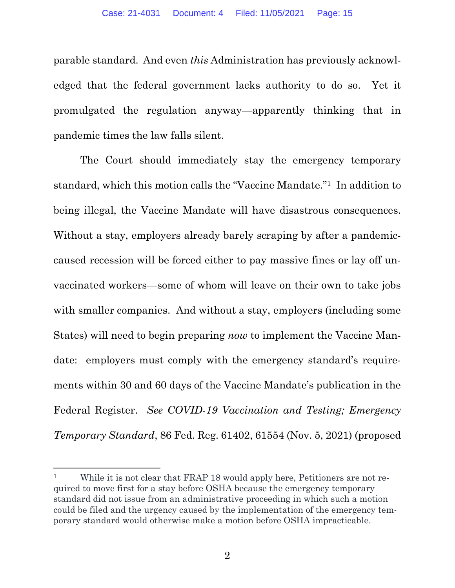parable standard. And even this Administration has previously acknowledged that the federal government lacks authority to do so. Yet it promulgated the regulation anyway—apparently thinking that in pandemic times the law falls silent.

The Court should immediately stay the emergency temporary standard, which this motion calls the "Vaccine Mandate."1 In addition to being illegal, the Vaccine Mandate will have disastrous consequences. Without a stay, employers already barely scraping by after a pandemiccaused recession will be forced either to pay massive fines or lay off unvaccinated workers—some of whom will leave on their own to take jobs with smaller companies. And without a stay, employers (including some States) will need to begin preparing now to implement the Vaccine Mandate: employers must comply with the emergency standard's requirements within 30 and 60 days of the Vaccine Mandate's publication in the Federal Register. See COVID-19 Vaccination and Testing; Emergency Temporary Standard, 86 Fed. Reg. 61402, 61554 (Nov. 5, 2021) (proposed

<sup>&</sup>lt;sup>1</sup> While it is not clear that FRAP 18 would apply here, Petitioners are not required to move first for a stay before OSHA because the emergency temporary standard did not issue from an administrative proceeding in which such a motion could be filed and the urgency caused by the implementation of the emergency temporary standard would otherwise make a motion before OSHA impracticable.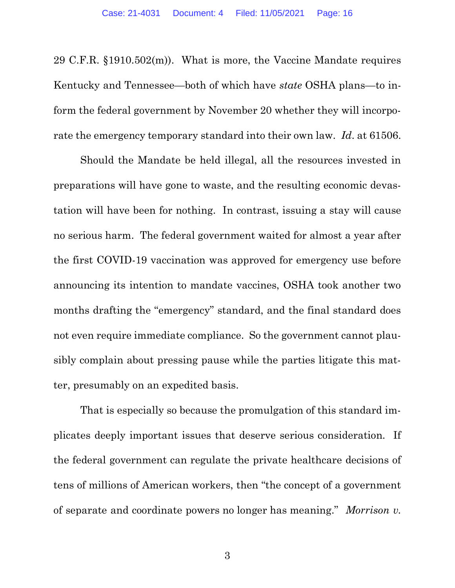29 C.F.R. §1910.502(m)). What is more, the Vaccine Mandate requires Kentucky and Tennessee—both of which have state OSHA plans—to inform the federal government by November 20 whether they will incorporate the emergency temporary standard into their own law. Id. at 61506.

Should the Mandate be held illegal, all the resources invested in preparations will have gone to waste, and the resulting economic devastation will have been for nothing. In contrast, issuing a stay will cause no serious harm. The federal government waited for almost a year after the first COVID-19 vaccination was approved for emergency use before announcing its intention to mandate vaccines, OSHA took another two months drafting the "emergency" standard, and the final standard does not even require immediate compliance. So the government cannot plausibly complain about pressing pause while the parties litigate this matter, presumably on an expedited basis.

That is especially so because the promulgation of this standard implicates deeply important issues that deserve serious consideration. If the federal government can regulate the private healthcare decisions of tens of millions of American workers, then "the concept of a government of separate and coordinate powers no longer has meaning." Morrison v.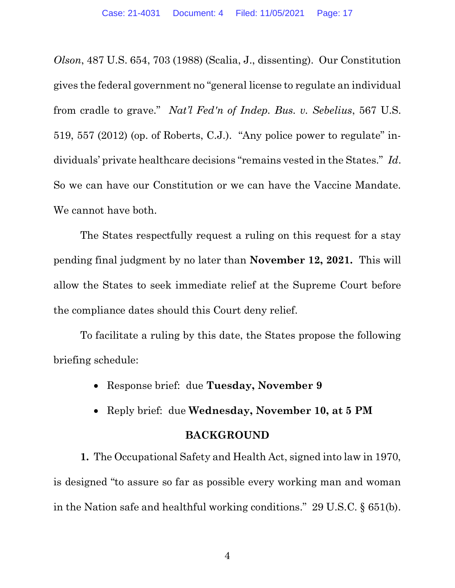Olson, 487 U.S. 654, 703 (1988) (Scalia, J., dissenting). Our Constitution gives the federal government no "general license to regulate an individual from cradle to grave." Nat'l Fed'n of Indep. Bus. v. Sebelius, 567 U.S. 519, 557 (2012) (op. of Roberts, C.J.). "Any police power to regulate" individuals' private healthcare decisions "remains vested in the States." Id. So we can have our Constitution or we can have the Vaccine Mandate. We cannot have both.

The States respectfully request a ruling on this request for a stay pending final judgment by no later than November 12, 2021. This will allow the States to seek immediate relief at the Supreme Court before the compliance dates should this Court deny relief.

To facilitate a ruling by this date, the States propose the following briefing schedule:

- Response brief: due Tuesday, November 9
- Reply brief: due Wednesday, November 10, at 5 PM

#### BACKGROUND

1. The Occupational Safety and Health Act, signed into law in 1970, is designed "to assure so far as possible every working man and woman in the Nation safe and healthful working conditions." 29 U.S.C. § 651(b).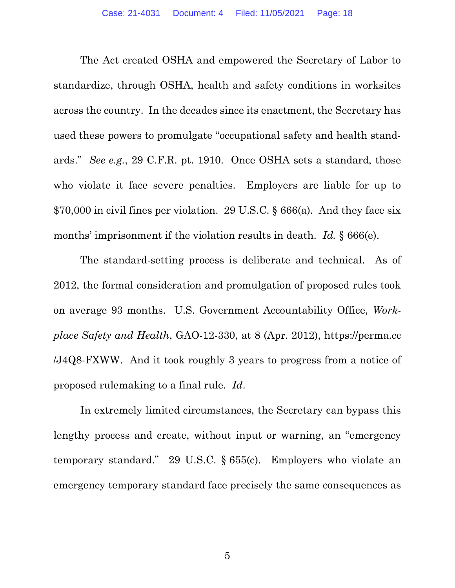The Act created OSHA and empowered the Secretary of Labor to standardize, through OSHA, health and safety conditions in worksites across the country. In the decades since its enactment, the Secretary has used these powers to promulgate "occupational safety and health standards." See e.g., 29 C.F.R. pt. 1910. Once OSHA sets a standard, those who violate it face severe penalties. Employers are liable for up to \$70,000 in civil fines per violation. 29 U.S.C. § 666(a). And they face six months' imprisonment if the violation results in death. Id.  $\S 666(e)$ .

The standard-setting process is deliberate and technical. As of 2012, the formal consideration and promulgation of proposed rules took on average 93 months. U.S. Government Accountability Office, Workplace Safety and Health, GAO-12-330, at 8 (Apr. 2012), https://perma.cc /J4Q8-FXWW. And it took roughly 3 years to progress from a notice of proposed rulemaking to a final rule. Id.

In extremely limited circumstances, the Secretary can bypass this lengthy process and create, without input or warning, an "emergency temporary standard." 29 U.S.C. § 655(c). Employers who violate an emergency temporary standard face precisely the same consequences as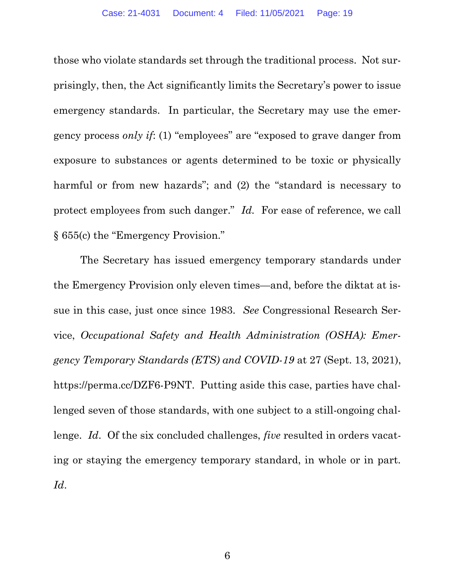those who violate standards set through the traditional process. Not surprisingly, then, the Act significantly limits the Secretary's power to issue emergency standards. In particular, the Secretary may use the emergency process only if: (1) "employees" are "exposed to grave danger from exposure to substances or agents determined to be toxic or physically harmful or from new hazards"; and (2) the "standard is necessary to protect employees from such danger." Id. For ease of reference, we call § 655(c) the "Emergency Provision."

The Secretary has issued emergency temporary standards under the Emergency Provision only eleven times—and, before the diktat at issue in this case, just once since 1983. See Congressional Research Service, Occupational Safety and Health Administration (OSHA): Emergency Temporary Standards (ETS) and COVID-19 at 27 (Sept. 13, 2021), https://perma.cc/DZF6-P9NT. Putting aside this case, parties have challenged seven of those standards, with one subject to a still-ongoing challenge. Id. Of the six concluded challenges, *five* resulted in orders vacating or staying the emergency temporary standard, in whole or in part. Id.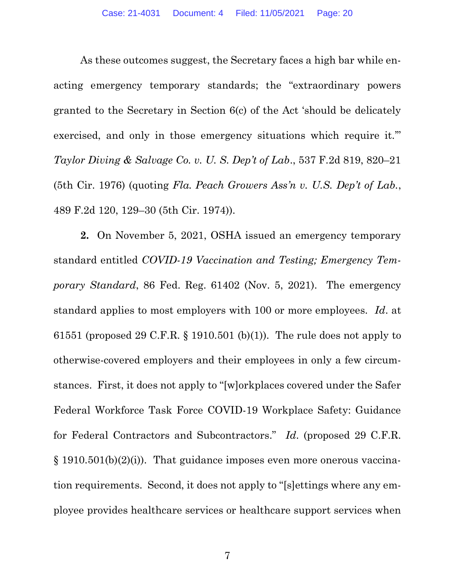As these outcomes suggest, the Secretary faces a high bar while enacting emergency temporary standards; the "extraordinary powers granted to the Secretary in Section 6(c) of the Act 'should be delicately exercised, and only in those emergency situations which require it.'" Taylor Diving & Salvage Co. v. U. S. Dep't of Lab., 537 F.2d 819, 820–21 (5th Cir. 1976) (quoting Fla. Peach Growers Ass'n v. U.S. Dep't of Lab., 489 F.2d 120, 129–30 (5th Cir. 1974)).

2. On November 5, 2021, OSHA issued an emergency temporary standard entitled COVID-19 Vaccination and Testing; Emergency Temporary Standard, 86 Fed. Reg. 61402 (Nov. 5, 2021). The emergency standard applies to most employers with 100 or more employees. Id. at 61551 (proposed 29 C.F.R. § 1910.501 (b)(1)). The rule does not apply to otherwise-covered employers and their employees in only a few circumstances. First, it does not apply to "[w]orkplaces covered under the Safer Federal Workforce Task Force COVID-19 Workplace Safety: Guidance for Federal Contractors and Subcontractors." Id. (proposed 29 C.F.R.  $\S$  1910.501(b)(2)(i)). That guidance imposes even more onerous vaccination requirements. Second, it does not apply to "[s]ettings where any employee provides healthcare services or healthcare support services when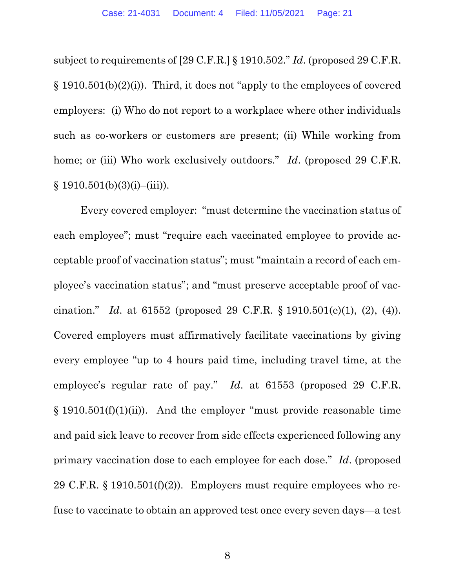subject to requirements of [29 C.F.R.] § 1910.502." Id. (proposed 29 C.F.R. § 1910.501(b)(2)(i)). Third, it does not "apply to the employees of covered employers: (i) Who do not report to a workplace where other individuals such as co-workers or customers are present; (ii) While working from home; or (iii) Who work exclusively outdoors." Id. (proposed 29 C.F.R.  $§ 1910.501(b)(3)(i)–(iii)).$ 

Every covered employer: "must determine the vaccination status of each employee"; must "require each vaccinated employee to provide acceptable proof of vaccination status"; must "maintain a record of each employee's vaccination status"; and "must preserve acceptable proof of vaccination." Id. at 61552 (proposed 29 C.F.R.  $\S 1910.501(e)(1)$ , (2), (4)). Covered employers must affirmatively facilitate vaccinations by giving every employee "up to 4 hours paid time, including travel time, at the employee's regular rate of pay." Id. at 61553 (proposed 29 C.F.R.  $§$  1910.501(f)(1)(ii)). And the employer "must provide reasonable time and paid sick leave to recover from side effects experienced following any primary vaccination dose to each employee for each dose." Id. (proposed 29 C.F.R.  $\S$  1910.501(f)(2)). Employers must require employees who refuse to vaccinate to obtain an approved test once every seven days—a test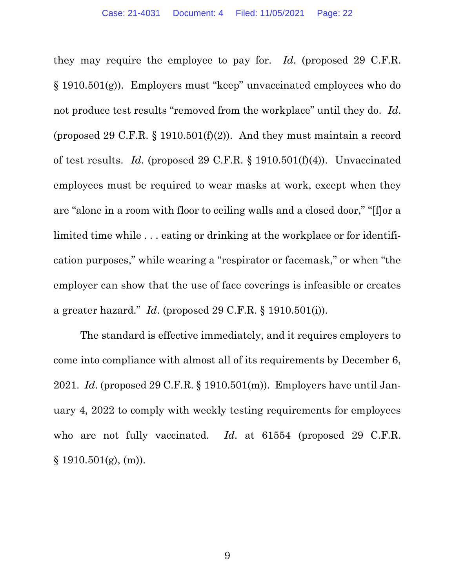they may require the employee to pay for. Id. (proposed 29 C.F.R. § 1910.501(g)). Employers must "keep" unvaccinated employees who do not produce test results "removed from the workplace" until they do. Id. (proposed 29 C.F.R.  $\S$  1910.501(f)(2)). And they must maintain a record of test results. Id. (proposed 29 C.F.R. § 1910.501(f)(4)). Unvaccinated employees must be required to wear masks at work, except when they are "alone in a room with floor to ceiling walls and a closed door," "[f]or a limited time while . . . eating or drinking at the workplace or for identification purposes," while wearing a "respirator or facemask," or when "the employer can show that the use of face coverings is infeasible or creates a greater hazard." Id. (proposed 29 C.F.R. § 1910.501(i)).

The standard is effective immediately, and it requires employers to come into compliance with almost all of its requirements by December 6, 2021. Id. (proposed 29 C.F.R.  $\S$  1910.501(m)). Employers have until January 4, 2022 to comply with weekly testing requirements for employees who are not fully vaccinated. Id. at 61554 (proposed 29 C.F.R. § 1910.501(g), (m)).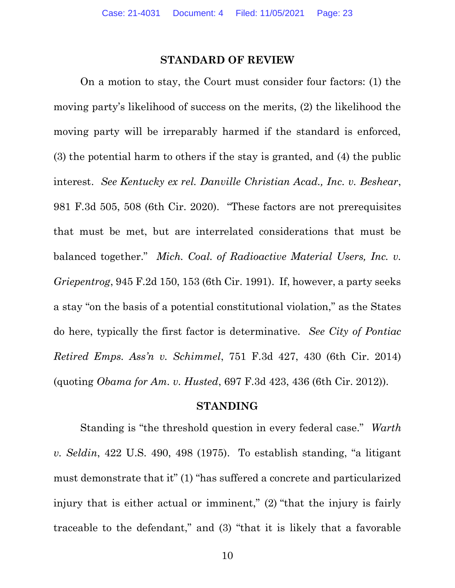#### STANDARD OF REVIEW

On a motion to stay, the Court must consider four factors: (1) the moving party's likelihood of success on the merits, (2) the likelihood the moving party will be irreparably harmed if the standard is enforced, (3) the potential harm to others if the stay is granted, and (4) the public interest. See Kentucky ex rel. Danville Christian Acad., Inc. v. Beshear, 981 F.3d 505, 508 (6th Cir. 2020). "These factors are not prerequisites that must be met, but are interrelated considerations that must be balanced together." Mich. Coal. of Radioactive Material Users, Inc. v. Griepentrog, 945 F.2d 150, 153 (6th Cir. 1991). If, however, a party seeks a stay "on the basis of a potential constitutional violation," as the States do here, typically the first factor is determinative. See City of Pontiac Retired Emps. Ass'n v. Schimmel, 751 F.3d 427, 430 (6th Cir. 2014) (quoting Obama for Am. v. Husted, 697 F.3d 423, 436 (6th Cir. 2012)).

#### STANDING

Standing is "the threshold question in every federal case." Warth v. Seldin, 422 U.S. 490, 498 (1975). To establish standing, "a litigant must demonstrate that it" (1) "has suffered a concrete and particularized injury that is either actual or imminent," (2) "that the injury is fairly traceable to the defendant," and (3) "that it is likely that a favorable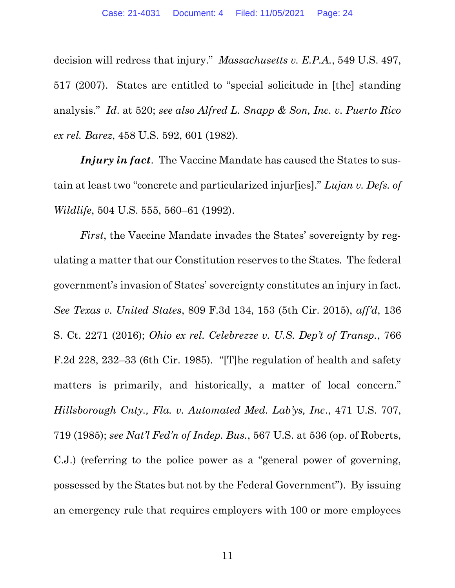decision will redress that injury." *Massachusetts v. E.P.A.*, 549 U.S. 497, 517 (2007). States are entitled to "special solicitude in [the] standing analysis." Id. at 520; see also Alfred L. Snapp & Son, Inc. v. Puerto Rico ex rel. Barez, 458 U.S. 592, 601 (1982).

Injury in fact. The Vaccine Mandate has caused the States to sustain at least two "concrete and particularized injuries]." Lujan v. Defs. of Wildlife, 504 U.S. 555, 560–61 (1992).

First, the Vaccine Mandate invades the States' sovereignty by regulating a matter that our Constitution reserves to the States. The federal government's invasion of States' sovereignty constitutes an injury in fact. See Texas v. United States, 809 F.3d 134, 153 (5th Cir. 2015), aff'd, 136 S. Ct. 2271 (2016); Ohio ex rel. Celebrezze v. U.S. Dep't of Transp., 766 F.2d 228, 232–33 (6th Cir. 1985). "[T]he regulation of health and safety matters is primarily, and historically, a matter of local concern." Hillsborough Cnty., Fla. v. Automated Med. Lab'ys, Inc., 471 U.S. 707, 719 (1985); see Nat'l Fed'n of Indep. Bus., 567 U.S. at 536 (op. of Roberts, C.J.) (referring to the police power as a "general power of governing, possessed by the States but not by the Federal Government"). By issuing an emergency rule that requires employers with 100 or more employees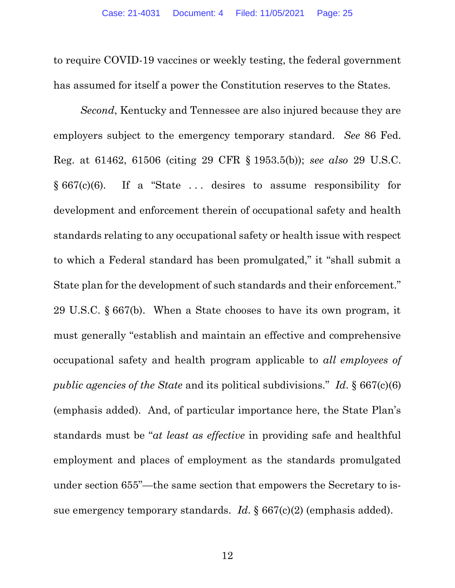to require COVID-19 vaccines or weekly testing, the federal government has assumed for itself a power the Constitution reserves to the States.

Second, Kentucky and Tennessee are also injured because they are employers subject to the emergency temporary standard. See 86 Fed. Reg. at 61462, 61506 (citing 29 CFR § 1953.5(b)); see also 29 U.S.C.  $§ 667(c)(6)$ . If a "State ... desires to assume responsibility for development and enforcement therein of occupational safety and health standards relating to any occupational safety or health issue with respect to which a Federal standard has been promulgated," it "shall submit a State plan for the development of such standards and their enforcement." 29 U.S.C. § 667(b). When a State chooses to have its own program, it must generally "establish and maintain an effective and comprehensive occupational safety and health program applicable to all employees of public agencies of the State and its political subdivisions." Id.  $\S 667(c)(6)$ (emphasis added). And, of particular importance here, the State Plan's standards must be "at least as effective in providing safe and healthful employment and places of employment as the standards promulgated under section 655"—the same section that empowers the Secretary to issue emergency temporary standards. Id.  $\S 667(c)(2)$  (emphasis added).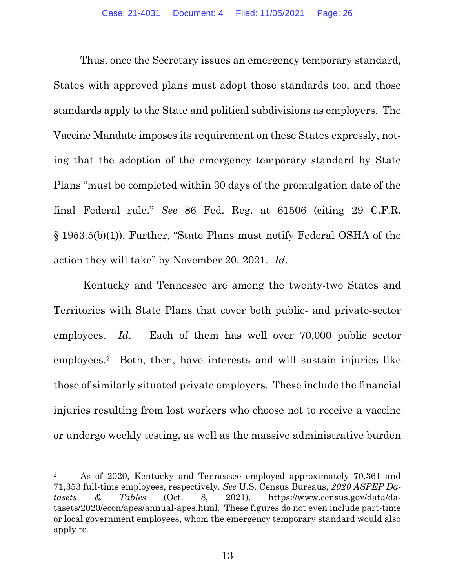Thus, once the Secretary issues an emergency temporary standard, States with approved plans must adopt those standards too, and those standards apply to the State and political subdivisions as employers. The Vaccine Mandate imposes its requirement on these States expressly, noting that the adoption of the emergency temporary standard by State Plans "must be completed within 30 days of the promulgation date of the final Federal rule." See 86 Fed. Reg. at 61506 (citing 29 C.F.R. § 1953.5(b)(1)). Further, "State Plans must notify Federal OSHA of the action they will take" by November 20, 2021. Id.

 Kentucky and Tennessee are among the twenty-two States and Territories with State Plans that cover both public- and private-sector employees. Id. Each of them has well over 70,000 public sector employees.2 Both, then, have interests and will sustain injuries like those of similarly situated private employers. These include the financial injuries resulting from lost workers who choose not to receive a vaccine or undergo weekly testing, as well as the massive administrative burden

<sup>2</sup> As of 2020, Kentucky and Tennessee employed approximately 70,361 and 71,353 full-time employees, respectively. See U.S. Census Bureaus, 2020 ASPEP Datasets & Tables (Oct. 8, 2021), https://www.census.gov/data/datasets/2020/econ/apes/annual-apes.html. These figures do not even include part-time or local government employees, whom the emergency temporary standard would also apply to.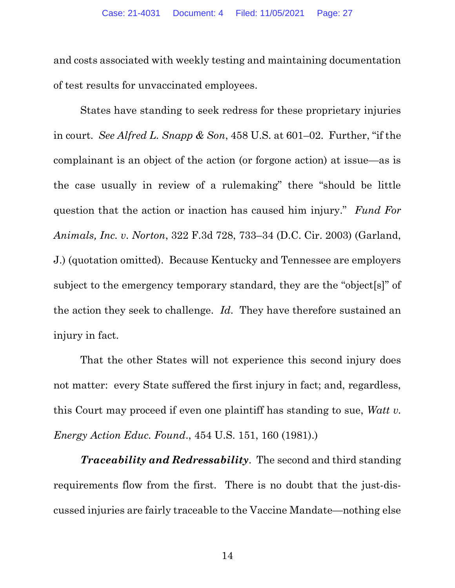and costs associated with weekly testing and maintaining documentation of test results for unvaccinated employees.

States have standing to seek redress for these proprietary injuries in court. See Alfred L. Snapp & Son, 458 U.S. at 601–02. Further, "if the complainant is an object of the action (or forgone action) at issue—as is the case usually in review of a rulemaking" there "should be little question that the action or inaction has caused him injury." Fund For Animals, Inc. v. Norton, 322 F.3d 728, 733–34 (D.C. Cir. 2003) (Garland, J.) (quotation omitted). Because Kentucky and Tennessee are employers subject to the emergency temporary standard, they are the "object[s]" of the action they seek to challenge. Id. They have therefore sustained an injury in fact.

That the other States will not experience this second injury does not matter: every State suffered the first injury in fact; and, regardless, this Court may proceed if even one plaintiff has standing to sue, Watt v. Energy Action Educ. Found., 454 U.S. 151, 160 (1981).)

**Traceability and Redressability**. The second and third standing requirements flow from the first. There is no doubt that the just-discussed injuries are fairly traceable to the Vaccine Mandate—nothing else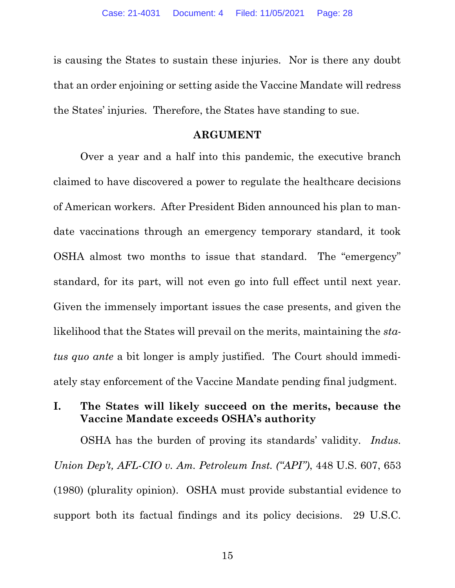is causing the States to sustain these injuries. Nor is there any doubt that an order enjoining or setting aside the Vaccine Mandate will redress the States' injuries. Therefore, the States have standing to sue.

### ARGUMENT

Over a year and a half into this pandemic, the executive branch claimed to have discovered a power to regulate the healthcare decisions of American workers. After President Biden announced his plan to mandate vaccinations through an emergency temporary standard, it took OSHA almost two months to issue that standard. The "emergency" standard, for its part, will not even go into full effect until next year. Given the immensely important issues the case presents, and given the likelihood that the States will prevail on the merits, maintaining the *sta*tus quo ante a bit longer is amply justified. The Court should immediately stay enforcement of the Vaccine Mandate pending final judgment.

## I. The States will likely succeed on the merits, because the Vaccine Mandate exceeds OSHA's authority

OSHA has the burden of proving its standards' validity. *Indus*. Union Dep't, AFL-CIO v. Am. Petroleum Inst. ("API"), 448 U.S. 607, 653 (1980) (plurality opinion). OSHA must provide substantial evidence to support both its factual findings and its policy decisions. 29 U.S.C.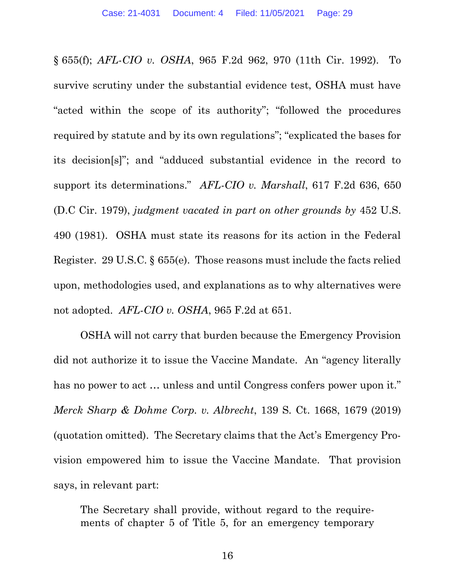§ 655(f); AFL-CIO v. OSHA, 965 F.2d 962, 970 (11th Cir. 1992). To survive scrutiny under the substantial evidence test, OSHA must have "acted within the scope of its authority"; "followed the procedures required by statute and by its own regulations"; "explicated the bases for its decision[s]"; and "adduced substantial evidence in the record to support its determinations." AFL-CIO v. Marshall, 617 F.2d 636, 650 (D.C Cir. 1979), judgment vacated in part on other grounds by 452 U.S. 490 (1981). OSHA must state its reasons for its action in the Federal Register. 29 U.S.C. § 655(e). Those reasons must include the facts relied upon, methodologies used, and explanations as to why alternatives were not adopted. AFL-CIO v. OSHA, 965 F.2d at 651.

OSHA will not carry that burden because the Emergency Provision did not authorize it to issue the Vaccine Mandate. An "agency literally has no power to act ... unless and until Congress confers power upon it." Merck Sharp & Dohme Corp. v. Albrecht, 139 S. Ct. 1668, 1679 (2019) (quotation omitted). The Secretary claims that the Act's Emergency Provision empowered him to issue the Vaccine Mandate. That provision says, in relevant part:

The Secretary shall provide, without regard to the requirements of chapter 5 of Title 5, for an emergency temporary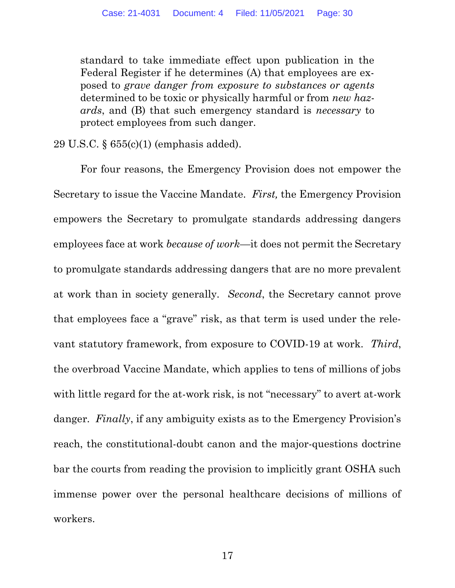standard to take immediate effect upon publication in the Federal Register if he determines (A) that employees are exposed to grave danger from exposure to substances or agents determined to be toxic or physically harmful or from *new haz*ards, and (B) that such emergency standard is necessary to protect employees from such danger.

29 U.S.C. § 655(c)(1) (emphasis added).

For four reasons, the Emergency Provision does not empower the Secretary to issue the Vaccine Mandate. First, the Emergency Provision empowers the Secretary to promulgate standards addressing dangers employees face at work because of work—it does not permit the Secretary to promulgate standards addressing dangers that are no more prevalent at work than in society generally. Second, the Secretary cannot prove that employees face a "grave" risk, as that term is used under the relevant statutory framework, from exposure to COVID-19 at work. Third, the overbroad Vaccine Mandate, which applies to tens of millions of jobs with little regard for the at-work risk, is not "necessary" to avert at-work danger. Finally, if any ambiguity exists as to the Emergency Provision's reach, the constitutional-doubt canon and the major-questions doctrine bar the courts from reading the provision to implicitly grant OSHA such immense power over the personal healthcare decisions of millions of workers.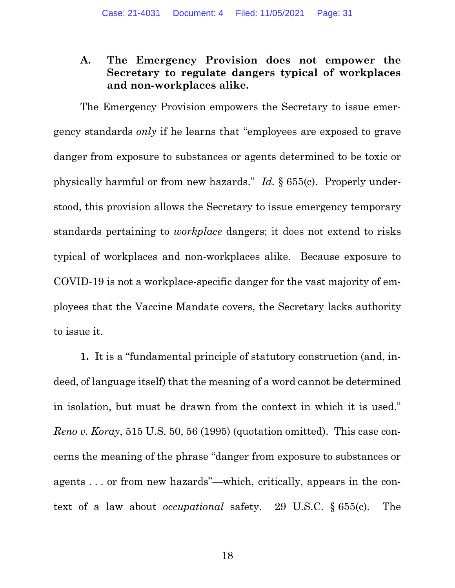## A. The Emergency Provision does not empower the Secretary to regulate dangers typical of workplaces and non-workplaces alike.

The Emergency Provision empowers the Secretary to issue emergency standards only if he learns that "employees are exposed to grave danger from exposure to substances or agents determined to be toxic or physically harmful or from new hazards." Id. § 655(c). Properly understood, this provision allows the Secretary to issue emergency temporary standards pertaining to workplace dangers; it does not extend to risks typical of workplaces and non-workplaces alike. Because exposure to COVID-19 is not a workplace-specific danger for the vast majority of employees that the Vaccine Mandate covers, the Secretary lacks authority to issue it.

1. It is a "fundamental principle of statutory construction (and, indeed, of language itself) that the meaning of a word cannot be determined in isolation, but must be drawn from the context in which it is used." Reno v. Koray, 515 U.S. 50, 56 (1995) (quotation omitted). This case concerns the meaning of the phrase "danger from exposure to substances or agents . . . or from new hazards"—which, critically, appears in the context of a law about occupational safety. 29 U.S.C. § 655(c). The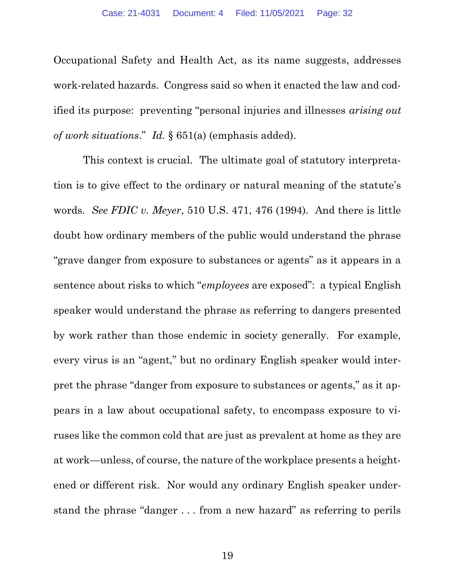Occupational Safety and Health Act, as its name suggests, addresses work-related hazards. Congress said so when it enacted the law and codified its purpose: preventing "personal injuries and illnesses arising out of work situations." Id. § 651(a) (emphasis added).

 This context is crucial. The ultimate goal of statutory interpretation is to give effect to the ordinary or natural meaning of the statute's words. See FDIC v. Meyer, 510 U.S. 471, 476 (1994). And there is little doubt how ordinary members of the public would understand the phrase "grave danger from exposure to substances or agents" as it appears in a sentence about risks to which "*employees* are exposed": a typical English speaker would understand the phrase as referring to dangers presented by work rather than those endemic in society generally. For example, every virus is an "agent," but no ordinary English speaker would interpret the phrase "danger from exposure to substances or agents," as it appears in a law about occupational safety, to encompass exposure to viruses like the common cold that are just as prevalent at home as they are at work—unless, of course, the nature of the workplace presents a heightened or different risk. Nor would any ordinary English speaker understand the phrase "danger . . . from a new hazard" as referring to perils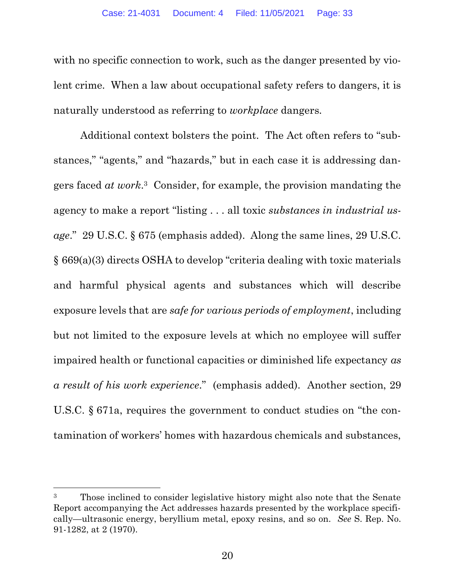with no specific connection to work, such as the danger presented by violent crime. When a law about occupational safety refers to dangers, it is naturally understood as referring to workplace dangers.

Additional context bolsters the point. The Act often refers to "substances," "agents," and "hazards," but in each case it is addressing dangers faced at work. <sup>3</sup> Consider, for example, the provision mandating the agency to make a report "listing . . . all toxic substances in industrial usage." 29 U.S.C. § 675 (emphasis added). Along the same lines, 29 U.S.C. § 669(a)(3) directs OSHA to develop "criteria dealing with toxic materials and harmful physical agents and substances which will describe exposure levels that are safe for various periods of employment, including but not limited to the exposure levels at which no employee will suffer impaired health or functional capacities or diminished life expectancy as a result of his work experience." (emphasis added). Another section, 29 U.S.C. § 671a, requires the government to conduct studies on "the contamination of workers' homes with hazardous chemicals and substances,

<sup>&</sup>lt;sup>3</sup> Those inclined to consider legislative history might also note that the Senate Report accompanying the Act addresses hazards presented by the workplace specifically—ultrasonic energy, beryllium metal, epoxy resins, and so on. See S. Rep. No. 91-1282, at 2 (1970).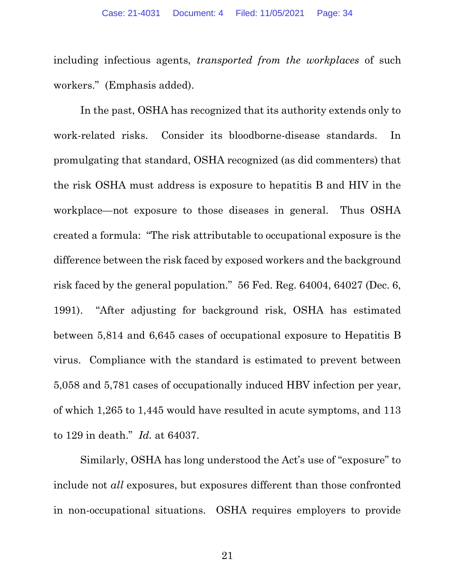including infectious agents, transported from the workplaces of such workers." (Emphasis added).

In the past, OSHA has recognized that its authority extends only to work-related risks. Consider its bloodborne-disease standards. In promulgating that standard, OSHA recognized (as did commenters) that the risk OSHA must address is exposure to hepatitis B and HIV in the workplace—not exposure to those diseases in general. Thus OSHA created a formula: "The risk attributable to occupational exposure is the difference between the risk faced by exposed workers and the background risk faced by the general population." 56 Fed. Reg. 64004, 64027 (Dec. 6, 1991). "After adjusting for background risk, OSHA has estimated between 5,814 and 6,645 cases of occupational exposure to Hepatitis B virus. Compliance with the standard is estimated to prevent between 5,058 and 5,781 cases of occupationally induced HBV infection per year, of which 1,265 to 1,445 would have resulted in acute symptoms, and 113 to 129 in death." Id. at 64037.

Similarly, OSHA has long understood the Act's use of "exposure" to include not all exposures, but exposures different than those confronted in non-occupational situations. OSHA requires employers to provide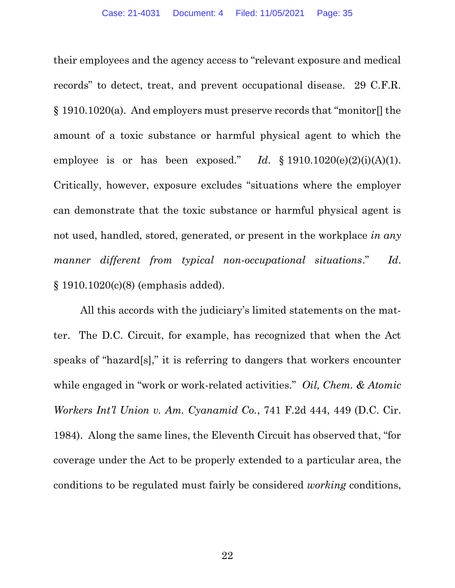their employees and the agency access to "relevant exposure and medical records" to detect, treat, and prevent occupational disease. 29 C.F.R. § 1910.1020(a). And employers must preserve records that "monitor[] the amount of a toxic substance or harmful physical agent to which the employee is or has been exposed." Id.  $\S 1910.1020(e)(2)(i)(A)(1)$ . Critically, however, exposure excludes "situations where the employer can demonstrate that the toxic substance or harmful physical agent is not used, handled, stored, generated, or present in the workplace in any manner different from typical non-occupational situations." Id. § 1910.1020(c)(8) (emphasis added).

All this accords with the judiciary's limited statements on the matter. The D.C. Circuit, for example, has recognized that when the Act speaks of "hazard[s]," it is referring to dangers that workers encounter while engaged in "work or work-related activities." *Oil, Chem. & Atomic* Workers Int'l Union v. Am. Cyanamid Co., 741 F.2d 444, 449 (D.C. Cir. 1984). Along the same lines, the Eleventh Circuit has observed that, "for coverage under the Act to be properly extended to a particular area, the conditions to be regulated must fairly be considered working conditions,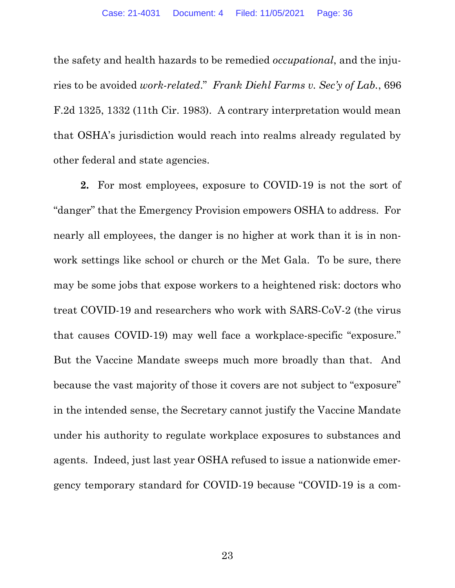the safety and health hazards to be remedied occupational, and the injuries to be avoided work-related." Frank Diehl Farms v. Sec'y of Lab., 696 F.2d 1325, 1332 (11th Cir. 1983). A contrary interpretation would mean that OSHA's jurisdiction would reach into realms already regulated by other federal and state agencies.

2. For most employees, exposure to COVID-19 is not the sort of "danger" that the Emergency Provision empowers OSHA to address. For nearly all employees, the danger is no higher at work than it is in nonwork settings like school or church or the Met Gala. To be sure, there may be some jobs that expose workers to a heightened risk: doctors who treat COVID-19 and researchers who work with SARS-CoV-2 (the virus that causes COVID-19) may well face a workplace-specific "exposure." But the Vaccine Mandate sweeps much more broadly than that. And because the vast majority of those it covers are not subject to "exposure" in the intended sense, the Secretary cannot justify the Vaccine Mandate under his authority to regulate workplace exposures to substances and agents. Indeed, just last year OSHA refused to issue a nationwide emergency temporary standard for COVID-19 because "COVID-19 is a com-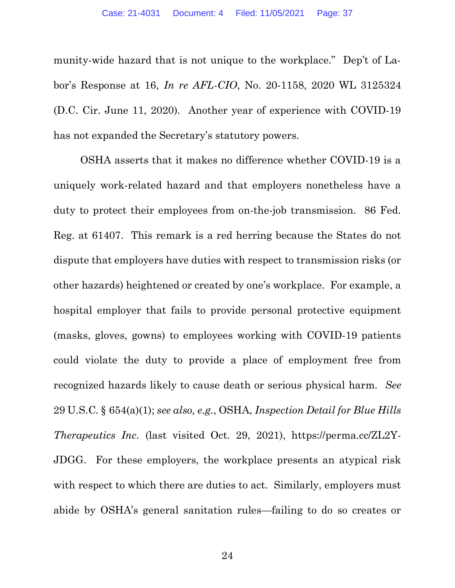munity-wide hazard that is not unique to the workplace." Dep't of Labor's Response at 16, In re AFL-CIO, No. 20-1158, 2020 WL 3125324 (D.C. Cir. June 11, 2020). Another year of experience with COVID-19 has not expanded the Secretary's statutory powers.

OSHA asserts that it makes no difference whether COVID-19 is a uniquely work-related hazard and that employers nonetheless have a duty to protect their employees from on-the-job transmission. 86 Fed. Reg. at 61407. This remark is a red herring because the States do not dispute that employers have duties with respect to transmission risks (or other hazards) heightened or created by one's workplace. For example, a hospital employer that fails to provide personal protective equipment (masks, gloves, gowns) to employees working with COVID-19 patients could violate the duty to provide a place of employment free from recognized hazards likely to cause death or serious physical harm. See 29 U.S.C. § 654(a)(1); see also, e.g., OSHA, Inspection Detail for Blue Hills Therapeutics Inc. (last visited Oct. 29, 2021), https://perma.cc/ZL2Y-JDGG. For these employers, the workplace presents an atypical risk with respect to which there are duties to act. Similarly, employers must abide by OSHA's general sanitation rules—failing to do so creates or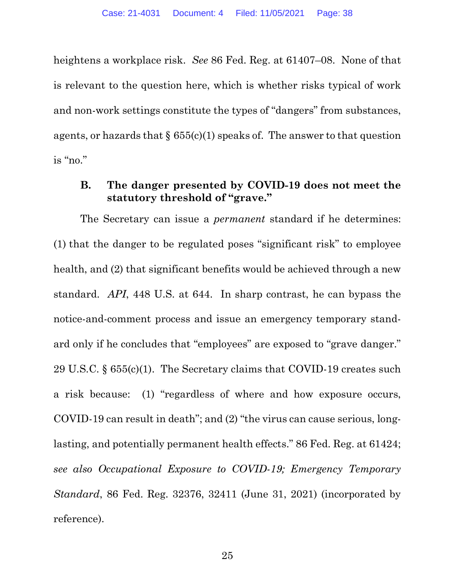heightens a workplace risk. See 86 Fed. Reg. at 61407–08. None of that is relevant to the question here, which is whether risks typical of work and non-work settings constitute the types of "dangers" from substances, agents, or hazards that  $\S 655(c)(1)$  speaks of. The answer to that question is "no."

#### B. The danger presented by COVID-19 does not meet the statutory threshold of "grave."

The Secretary can issue a permanent standard if he determines: (1) that the danger to be regulated poses "significant risk" to employee health, and (2) that significant benefits would be achieved through a new standard. API, 448 U.S. at 644. In sharp contrast, he can bypass the notice-and-comment process and issue an emergency temporary standard only if he concludes that "employees" are exposed to "grave danger." 29 U.S.C. § 655(c)(1). The Secretary claims that COVID-19 creates such a risk because: (1) "regardless of where and how exposure occurs, COVID-19 can result in death"; and (2) "the virus can cause serious, longlasting, and potentially permanent health effects." 86 Fed. Reg. at 61424; see also Occupational Exposure to COVID-19; Emergency Temporary Standard, 86 Fed. Reg. 32376, 32411 (June 31, 2021) (incorporated by reference).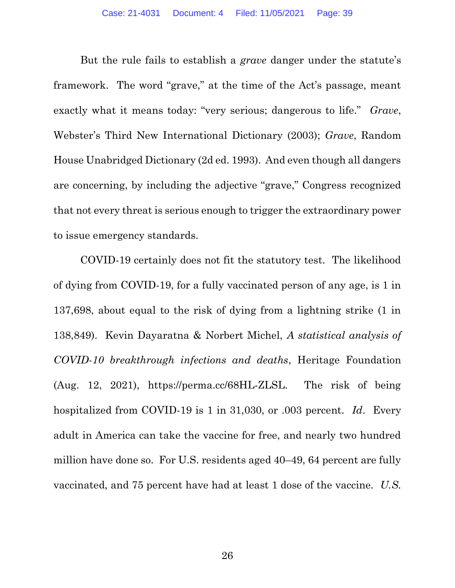But the rule fails to establish a *grave* danger under the statute's framework. The word "grave," at the time of the Act's passage, meant exactly what it means today: "very serious; dangerous to life." Grave, Webster's Third New International Dictionary (2003); Grave, Random House Unabridged Dictionary (2d ed. 1993). And even though all dangers are concerning, by including the adjective "grave," Congress recognized that not every threat is serious enough to trigger the extraordinary power to issue emergency standards.

COVID-19 certainly does not fit the statutory test. The likelihood of dying from COVID-19, for a fully vaccinated person of any age, is 1 in 137,698, about equal to the risk of dying from a lightning strike (1 in 138,849). Kevin Dayaratna & Norbert Michel, A statistical analysis of COVID-10 breakthrough infections and deaths, Heritage Foundation (Aug. 12, 2021), https://perma.cc/68HL-ZLSL. The risk of being hospitalized from COVID-19 is 1 in 31,030, or .003 percent. Id. Every adult in America can take the vaccine for free, and nearly two hundred million have done so. For U.S. residents aged 40–49, 64 percent are fully vaccinated, and 75 percent have had at least 1 dose of the vaccine. U.S.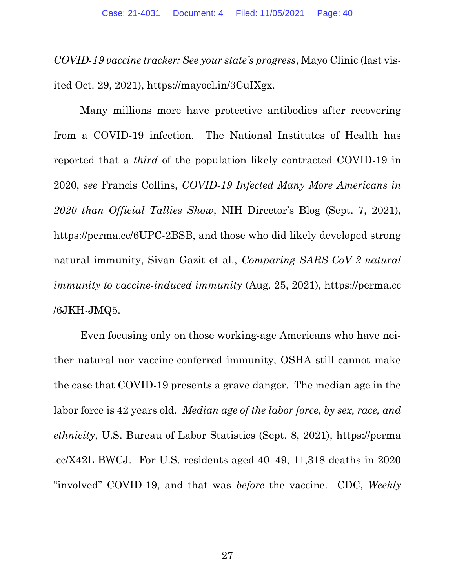COVID-19 vaccine tracker: See your state's progress, Mayo Clinic (last visited Oct. 29, 2021), https://mayocl.in/3CuIXgx.

Many millions more have protective antibodies after recovering from a COVID-19 infection. The National Institutes of Health has reported that a third of the population likely contracted COVID-19 in 2020, see Francis Collins, COVID-19 Infected Many More Americans in 2020 than Official Tallies Show, NIH Director's Blog (Sept. 7, 2021), https://perma.cc/6UPC-2BSB, and those who did likely developed strong natural immunity, Sivan Gazit et al., Comparing SARS-CoV-2 natural immunity to vaccine-induced immunity (Aug. 25, 2021), https://perma.cc /6JKH-JMQ5.

Even focusing only on those working-age Americans who have neither natural nor vaccine-conferred immunity, OSHA still cannot make the case that COVID-19 presents a grave danger. The median age in the labor force is 42 years old. Median age of the labor force, by sex, race, and ethnicity, U.S. Bureau of Labor Statistics (Sept. 8, 2021), https://perma .cc/X42L-BWCJ. For U.S. residents aged 40–49, 11,318 deaths in 2020 "involved" COVID-19, and that was before the vaccine. CDC, Weekly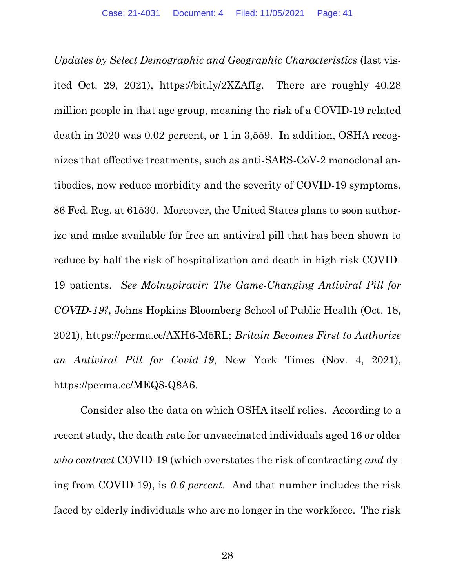Updates by Select Demographic and Geographic Characteristics (last visited Oct. 29, 2021), https://bit.ly/2XZAfIg. There are roughly 40.28 million people in that age group, meaning the risk of a COVID-19 related death in 2020 was 0.02 percent, or 1 in 3,559. In addition, OSHA recognizes that effective treatments, such as anti-SARS-CoV-2 monoclonal antibodies, now reduce morbidity and the severity of COVID-19 symptoms. 86 Fed. Reg. at 61530. Moreover, the United States plans to soon authorize and make available for free an antiviral pill that has been shown to reduce by half the risk of hospitalization and death in high-risk COVID-19 patients. See Molnupiravir: The Game-Changing Antiviral Pill for COVID-19?, Johns Hopkins Bloomberg School of Public Health (Oct. 18, 2021), https://perma.cc/AXH6-M5RL; Britain Becomes First to Authorize an Antiviral Pill for Covid-19, New York Times (Nov. 4, 2021), https://perma.cc/MEQ8-Q8A6.

Consider also the data on which OSHA itself relies. According to a recent study, the death rate for unvaccinated individuals aged 16 or older who contract COVID-19 (which overstates the risk of contracting and dying from COVID-19), is 0.6 percent. And that number includes the risk faced by elderly individuals who are no longer in the workforce. The risk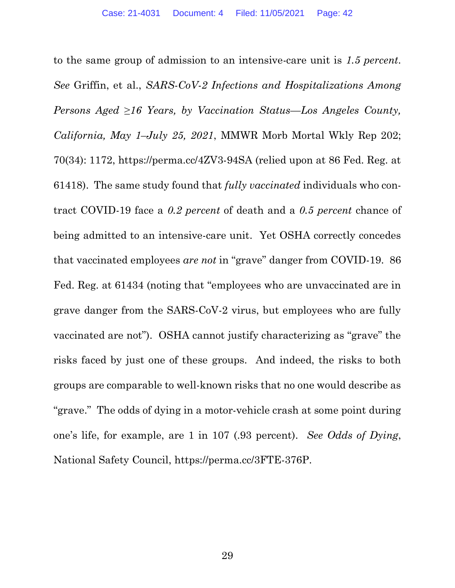to the same group of admission to an intensive-care unit is 1.5 percent. See Griffin, et al., SARS-CoV-2 Infections and Hospitalizations Among Persons Aged  $\geq 16$  Years, by Vaccination Status—Los Angeles County, California, May 1–July 25, 2021, MMWR Morb Mortal Wkly Rep 202; 70(34): 1172, https://perma.cc/4ZV3-94SA (relied upon at 86 Fed. Reg. at 61418). The same study found that fully vaccinated individuals who contract COVID-19 face a 0.2 percent of death and a 0.5 percent chance of being admitted to an intensive-care unit. Yet OSHA correctly concedes that vaccinated employees are not in "grave" danger from COVID-19. 86 Fed. Reg. at 61434 (noting that "employees who are unvaccinated are in grave danger from the SARS-CoV-2 virus, but employees who are fully vaccinated are not"). OSHA cannot justify characterizing as "grave" the risks faced by just one of these groups. And indeed, the risks to both groups are comparable to well-known risks that no one would describe as "grave." The odds of dying in a motor-vehicle crash at some point during one's life, for example, are 1 in 107 (.93 percent). See Odds of Dying, National Safety Council, https://perma.cc/3FTE-376P.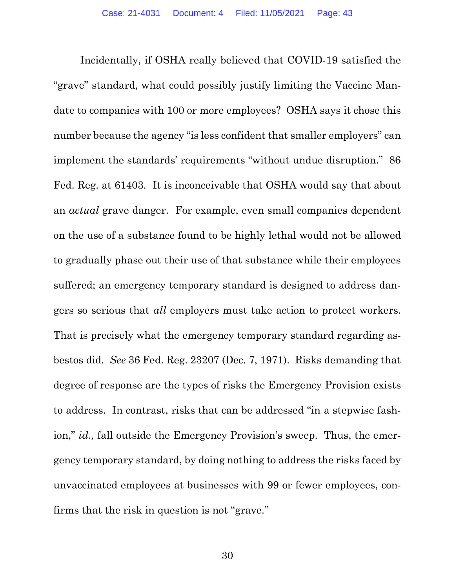Incidentally, if OSHA really believed that COVID-19 satisfied the "grave" standard, what could possibly justify limiting the Vaccine Mandate to companies with 100 or more employees? OSHA says it chose this number because the agency "is less confident that smaller employers" can implement the standards' requirements "without undue disruption." 86 Fed. Reg. at 61403. It is inconceivable that OSHA would say that about an actual grave danger. For example, even small companies dependent on the use of a substance found to be highly lethal would not be allowed to gradually phase out their use of that substance while their employees suffered; an emergency temporary standard is designed to address dangers so serious that all employers must take action to protect workers. That is precisely what the emergency temporary standard regarding asbestos did. See 36 Fed. Reg. 23207 (Dec. 7, 1971). Risks demanding that degree of response are the types of risks the Emergency Provision exists to address. In contrast, risks that can be addressed "in a stepwise fashion," id., fall outside the Emergency Provision's sweep. Thus, the emergency temporary standard, by doing nothing to address the risks faced by unvaccinated employees at businesses with 99 or fewer employees, confirms that the risk in question is not "grave."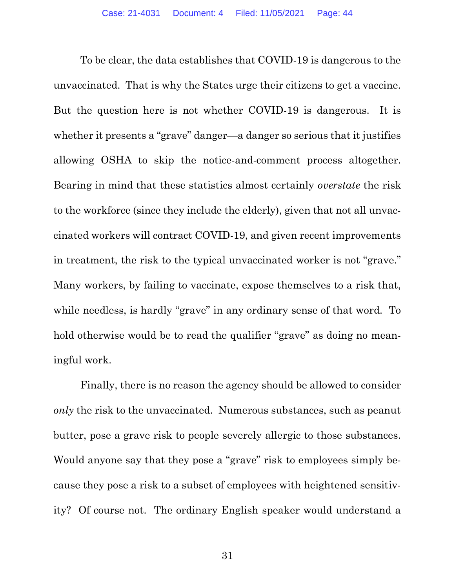To be clear, the data establishes that COVID-19 is dangerous to the unvaccinated. That is why the States urge their citizens to get a vaccine. But the question here is not whether COVID-19 is dangerous. It is whether it presents a "grave" danger—a danger so serious that it justifies allowing OSHA to skip the notice-and-comment process altogether. Bearing in mind that these statistics almost certainly overstate the risk to the workforce (since they include the elderly), given that not all unvaccinated workers will contract COVID-19, and given recent improvements in treatment, the risk to the typical unvaccinated worker is not "grave." Many workers, by failing to vaccinate, expose themselves to a risk that, while needless, is hardly "grave" in any ordinary sense of that word. To hold otherwise would be to read the qualifier "grave" as doing no meaningful work.

Finally, there is no reason the agency should be allowed to consider only the risk to the unvaccinated. Numerous substances, such as peanut butter, pose a grave risk to people severely allergic to those substances. Would anyone say that they pose a "grave" risk to employees simply because they pose a risk to a subset of employees with heightened sensitivity? Of course not. The ordinary English speaker would understand a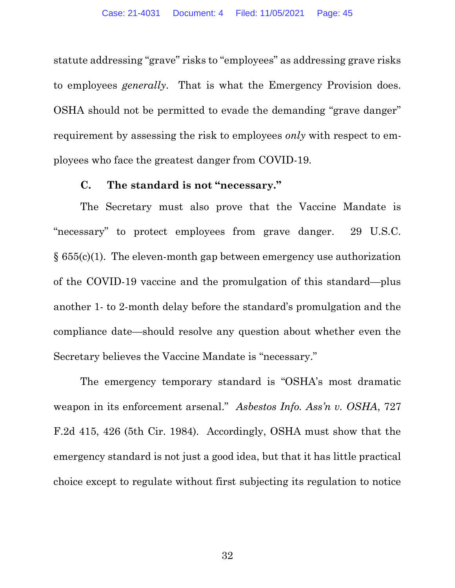statute addressing "grave" risks to "employees" as addressing grave risks to employees generally. That is what the Emergency Provision does. OSHA should not be permitted to evade the demanding "grave danger" requirement by assessing the risk to employees *only* with respect to employees who face the greatest danger from COVID-19.

#### C. The standard is not "necessary."

The Secretary must also prove that the Vaccine Mandate is "necessary" to protect employees from grave danger. 29 U.S.C.  $§ 655(c)(1)$ . The eleven-month gap between emergency use authorization of the COVID-19 vaccine and the promulgation of this standard—plus another 1- to 2-month delay before the standard's promulgation and the compliance date—should resolve any question about whether even the Secretary believes the Vaccine Mandate is "necessary."

The emergency temporary standard is "OSHA's most dramatic weapon in its enforcement arsenal." Asbestos Info. Ass'n v. OSHA, 727 F.2d 415, 426 (5th Cir. 1984). Accordingly, OSHA must show that the emergency standard is not just a good idea, but that it has little practical choice except to regulate without first subjecting its regulation to notice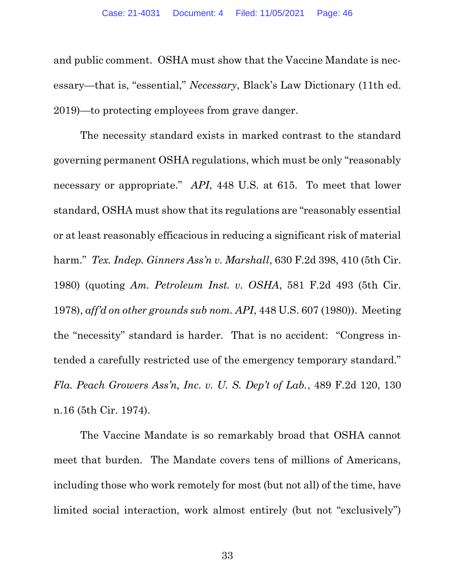and public comment. OSHA must show that the Vaccine Mandate is necessary—that is, "essential," Necessary, Black's Law Dictionary (11th ed. 2019)—to protecting employees from grave danger.

The necessity standard exists in marked contrast to the standard governing permanent OSHA regulations, which must be only "reasonably necessary or appropriate." API, 448 U.S. at 615. To meet that lower standard, OSHA must show that its regulations are "reasonably essential or at least reasonably efficacious in reducing a significant risk of material harm." Tex. Indep. Ginners Ass'n v. Marshall, 630 F.2d 398, 410 (5th Cir. 1980) (quoting Am. Petroleum Inst. v. OSHA, 581 F.2d 493 (5th Cir. 1978), aff'd on other grounds sub nom. API, 448 U.S. 607 (1980)). Meeting the "necessity" standard is harder. That is no accident: "Congress intended a carefully restricted use of the emergency temporary standard." Fla. Peach Growers Ass'n, Inc. v. U. S. Dep't of Lab., 489 F.2d 120, 130 n.16 (5th Cir. 1974).

The Vaccine Mandate is so remarkably broad that OSHA cannot meet that burden. The Mandate covers tens of millions of Americans, including those who work remotely for most (but not all) of the time, have limited social interaction, work almost entirely (but not "exclusively")

33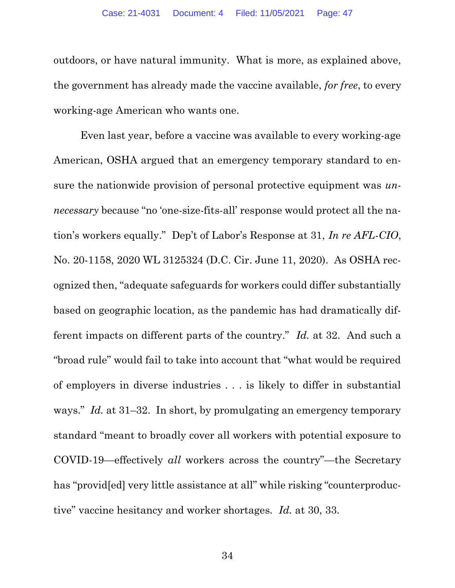outdoors, or have natural immunity. What is more, as explained above, the government has already made the vaccine available, for free, to every working-age American who wants one.

Even last year, before a vaccine was available to every working-age American, OSHA argued that an emergency temporary standard to ensure the nationwide provision of personal protective equipment was *un*necessary because "no 'one-size-fits-all' response would protect all the nation's workers equally." Dep't of Labor's Response at 31, In re AFL-CIO, No. 20-1158, 2020 WL 3125324 (D.C. Cir. June 11, 2020). As OSHA recognized then, "adequate safeguards for workers could differ substantially based on geographic location, as the pandemic has had dramatically different impacts on different parts of the country." Id. at 32. And such a "broad rule" would fail to take into account that "what would be required of employers in diverse industries . . . is likely to differ in substantial ways." *Id.* at 31–32. In short, by promulgating an emergency temporary standard "meant to broadly cover all workers with potential exposure to COVID-19—effectively all workers across the country"—the Secretary has "provided" very little assistance at all "while risking "counterproductive" vaccine hesitancy and worker shortages. Id. at 30, 33.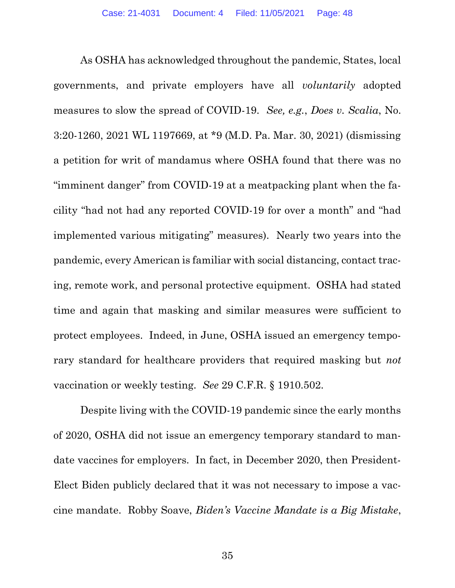As OSHA has acknowledged throughout the pandemic, States, local governments, and private employers have all voluntarily adopted measures to slow the spread of COVID-19. See, e.g., Does v. Scalia, No. 3:20-1260, 2021 WL 1197669, at \*9 (M.D. Pa. Mar. 30, 2021) (dismissing a petition for writ of mandamus where OSHA found that there was no "imminent danger" from COVID-19 at a meatpacking plant when the facility "had not had any reported COVID-19 for over a month" and "had implemented various mitigating" measures). Nearly two years into the pandemic, every American is familiar with social distancing, contact tracing, remote work, and personal protective equipment. OSHA had stated time and again that masking and similar measures were sufficient to protect employees. Indeed, in June, OSHA issued an emergency temporary standard for healthcare providers that required masking but not vaccination or weekly testing. See 29 C.F.R. § 1910.502.

Despite living with the COVID-19 pandemic since the early months of 2020, OSHA did not issue an emergency temporary standard to mandate vaccines for employers. In fact, in December 2020, then President-Elect Biden publicly declared that it was not necessary to impose a vaccine mandate. Robby Soave, Biden's Vaccine Mandate is a Big Mistake,

35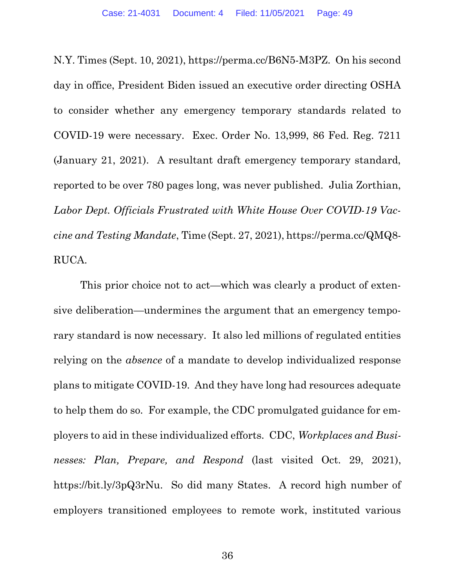N.Y. Times (Sept. 10, 2021), https://perma.cc/B6N5-M3PZ. On his second day in office, President Biden issued an executive order directing OSHA to consider whether any emergency temporary standards related to COVID-19 were necessary. Exec. Order No. 13,999, 86 Fed. Reg. 7211 (January 21, 2021). A resultant draft emergency temporary standard, reported to be over 780 pages long, was never published. Julia Zorthian, Labor Dept. Officials Frustrated with White House Over COVID-19 Vaccine and Testing Mandate, Time (Sept. 27, 2021), https://perma.cc/QMQ8- RUCA.

This prior choice not to act—which was clearly a product of extensive deliberation—undermines the argument that an emergency temporary standard is now necessary. It also led millions of regulated entities relying on the absence of a mandate to develop individualized response plans to mitigate COVID-19. And they have long had resources adequate to help them do so. For example, the CDC promulgated guidance for employers to aid in these individualized efforts. CDC, Workplaces and Businesses: Plan, Prepare, and Respond (last visited Oct. 29, 2021), https://bit.ly/3pQ3rNu. So did many States. A record high number of employers transitioned employees to remote work, instituted various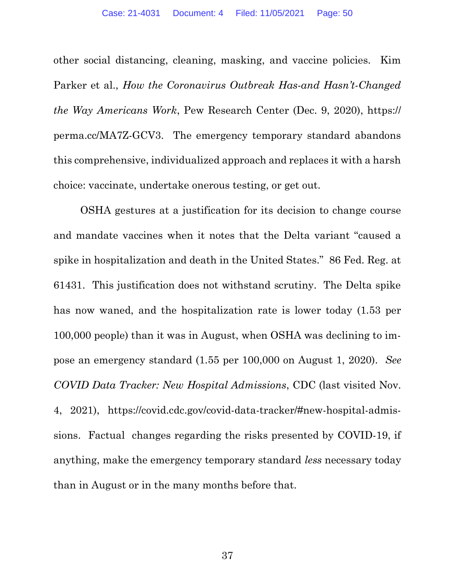other social distancing, cleaning, masking, and vaccine policies. Kim Parker et al., How the Coronavirus Outbreak Has-and Hasn't-Changed the Way Americans Work, Pew Research Center (Dec. 9, 2020), https:// perma.cc/MA7Z-GCV3. The emergency temporary standard abandons this comprehensive, individualized approach and replaces it with a harsh choice: vaccinate, undertake onerous testing, or get out.

OSHA gestures at a justification for its decision to change course and mandate vaccines when it notes that the Delta variant "caused a spike in hospitalization and death in the United States." 86 Fed. Reg. at 61431. This justification does not withstand scrutiny. The Delta spike has now waned, and the hospitalization rate is lower today (1.53 per 100,000 people) than it was in August, when OSHA was declining to impose an emergency standard (1.55 per 100,000 on August 1, 2020). See COVID Data Tracker: New Hospital Admissions, CDC (last visited Nov. 4, 2021), https://covid.cdc.gov/covid-data-tracker/#new-hospital-admissions. Factual changes regarding the risks presented by COVID-19, if anything, make the emergency temporary standard less necessary today than in August or in the many months before that.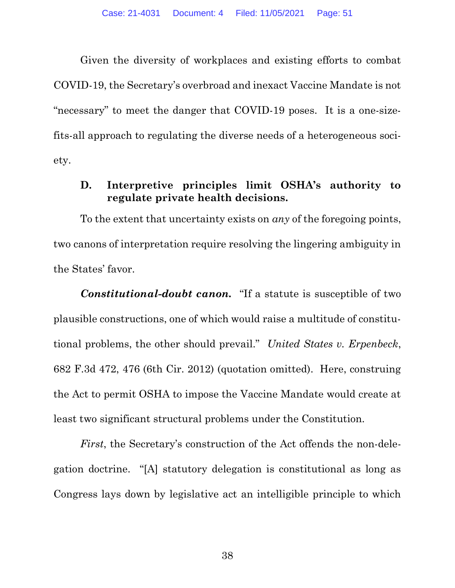Given the diversity of workplaces and existing efforts to combat COVID-19, the Secretary's overbroad and inexact Vaccine Mandate is not "necessary" to meet the danger that COVID-19 poses. It is a one-sizefits-all approach to regulating the diverse needs of a heterogeneous society.

#### D. Interpretive principles limit OSHA's authority to regulate private health decisions.

To the extent that uncertainty exists on any of the foregoing points, two canons of interpretation require resolving the lingering ambiguity in the States' favor.

Constitutional-doubt canon. "If a statute is susceptible of two plausible constructions, one of which would raise a multitude of constitutional problems, the other should prevail." United States v. Erpenbeck, 682 F.3d 472, 476 (6th Cir. 2012) (quotation omitted). Here, construing the Act to permit OSHA to impose the Vaccine Mandate would create at least two significant structural problems under the Constitution.

First, the Secretary's construction of the Act offends the non-delegation doctrine. "[A] statutory delegation is constitutional as long as Congress lays down by legislative act an intelligible principle to which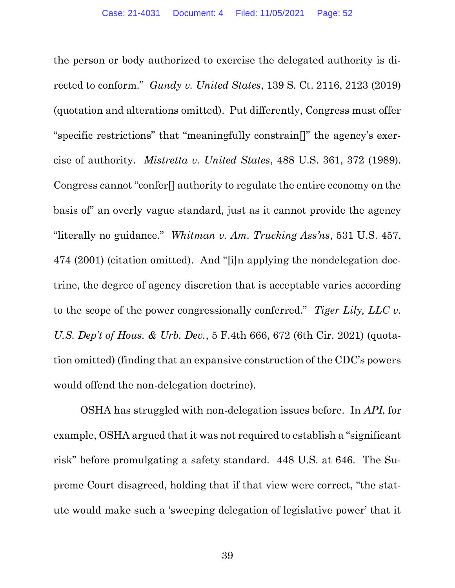the person or body authorized to exercise the delegated authority is directed to conform." Gundy v. United States, 139 S. Ct. 2116, 2123 (2019) (quotation and alterations omitted). Put differently, Congress must offer "specific restrictions" that "meaningfully constrain[]" the agency's exercise of authority. Mistretta v. United States, 488 U.S. 361, 372 (1989). Congress cannot "confer[] authority to regulate the entire economy on the basis of" an overly vague standard, just as it cannot provide the agency "literally no guidance." Whitman v. Am. Trucking Ass'ns, 531 U.S. 457, 474 (2001) (citation omitted). And "[i]n applying the nondelegation doctrine, the degree of agency discretion that is acceptable varies according to the scope of the power congressionally conferred." Tiger Lily, LLC v. U.S. Dep't of Hous. & Urb. Dev., 5 F.4th 666, 672 (6th Cir. 2021) (quotation omitted) (finding that an expansive construction of the CDC's powers would offend the non-delegation doctrine).

OSHA has struggled with non-delegation issues before. In API, for example, OSHA argued that it was not required to establish a "significant risk" before promulgating a safety standard. 448 U.S. at 646. The Supreme Court disagreed, holding that if that view were correct, "the statute would make such a 'sweeping delegation of legislative power' that it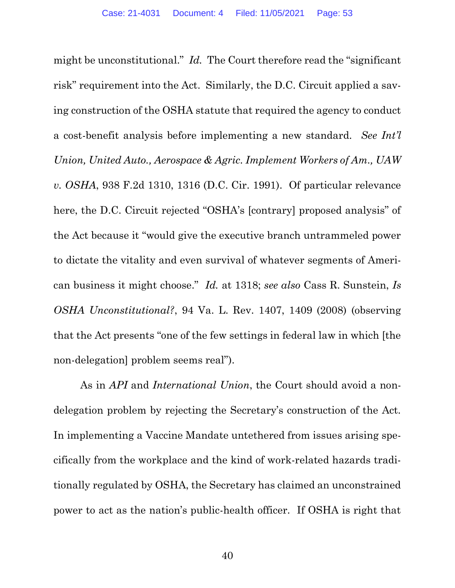might be unconstitutional." Id. The Court therefore read the "significant" risk" requirement into the Act. Similarly, the D.C. Circuit applied a saving construction of the OSHA statute that required the agency to conduct a cost-benefit analysis before implementing a new standard. See Int'l Union, United Auto., Aerospace & Agric. Implement Workers of Am., UAW v. OSHA, 938 F.2d 1310, 1316 (D.C. Cir. 1991). Of particular relevance here, the D.C. Circuit rejected "OSHA's [contrary] proposed analysis" of the Act because it "would give the executive branch untrammeled power to dictate the vitality and even survival of whatever segments of American business it might choose." Id. at 1318; see also Cass R. Sunstein, Is OSHA Unconstitutional?, 94 Va. L. Rev. 1407, 1409 (2008) (observing that the Act presents "one of the few settings in federal law in which [the non-delegation] problem seems real").

As in *API* and *International Union*, the Court should avoid a nondelegation problem by rejecting the Secretary's construction of the Act. In implementing a Vaccine Mandate untethered from issues arising specifically from the workplace and the kind of work-related hazards traditionally regulated by OSHA, the Secretary has claimed an unconstrained power to act as the nation's public-health officer. If OSHA is right that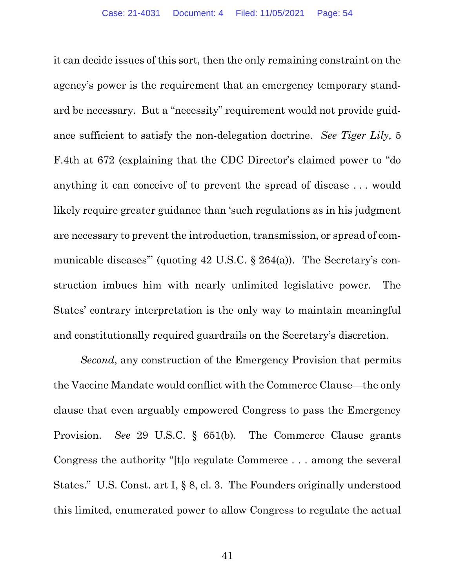it can decide issues of this sort, then the only remaining constraint on the agency's power is the requirement that an emergency temporary standard be necessary. But a "necessity" requirement would not provide guidance sufficient to satisfy the non-delegation doctrine. See Tiger Lily, 5 F.4th at 672 (explaining that the CDC Director's claimed power to "do anything it can conceive of to prevent the spread of disease . . . would likely require greater guidance than 'such regulations as in his judgment are necessary to prevent the introduction, transmission, or spread of communicable diseases" (quoting 42 U.S.C. § 264(a)). The Secretary's construction imbues him with nearly unlimited legislative power. The States' contrary interpretation is the only way to maintain meaningful and constitutionally required guardrails on the Secretary's discretion.

Second, any construction of the Emergency Provision that permits the Vaccine Mandate would conflict with the Commerce Clause—the only clause that even arguably empowered Congress to pass the Emergency Provision. See 29 U.S.C. § 651(b). The Commerce Clause grants Congress the authority "[t]o regulate Commerce . . . among the several States." U.S. Const. art I, § 8, cl. 3. The Founders originally understood this limited, enumerated power to allow Congress to regulate the actual

41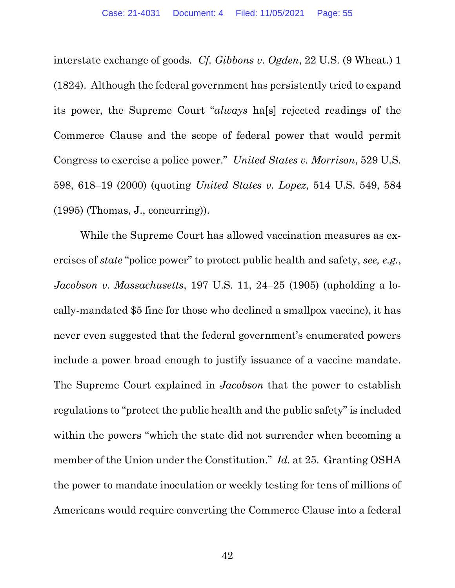interstate exchange of goods. Cf. Gibbons v. Ogden, 22 U.S. (9 Wheat.) 1 (1824). Although the federal government has persistently tried to expand its power, the Supreme Court "always ha[s] rejected readings of the Commerce Clause and the scope of federal power that would permit Congress to exercise a police power." United States v. Morrison, 529 U.S. 598, 618–19 (2000) (quoting United States v. Lopez, 514 U.S. 549, 584 (1995) (Thomas, J., concurring)).

While the Supreme Court has allowed vaccination measures as exercises of state "police power" to protect public health and safety, see, e.g., Jacobson v. Massachusetts, 197 U.S. 11, 24–25 (1905) (upholding a locally-mandated \$5 fine for those who declined a smallpox vaccine), it has never even suggested that the federal government's enumerated powers include a power broad enough to justify issuance of a vaccine mandate. The Supreme Court explained in *Jacobson* that the power to establish regulations to "protect the public health and the public safety" is included within the powers "which the state did not surrender when becoming a member of the Union under the Constitution." Id. at 25. Granting OSHA the power to mandate inoculation or weekly testing for tens of millions of Americans would require converting the Commerce Clause into a federal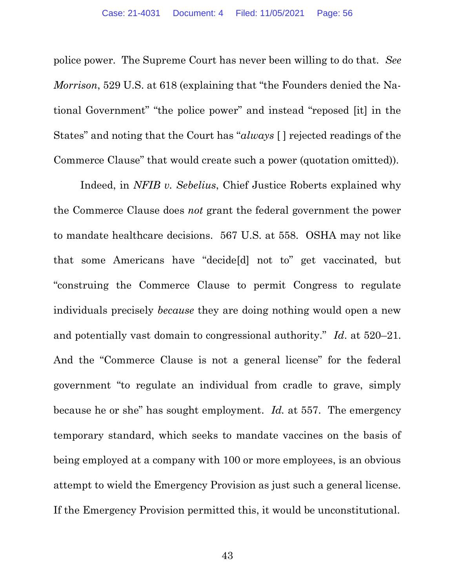police power. The Supreme Court has never been willing to do that. See Morrison, 529 U.S. at 618 (explaining that "the Founders denied the National Government" "the police power" and instead "reposed [it] in the States" and noting that the Court has "always [ ] rejected readings of the Commerce Clause" that would create such a power (quotation omitted)).

Indeed, in NFIB v. Sebelius, Chief Justice Roberts explained why the Commerce Clause does not grant the federal government the power to mandate healthcare decisions. 567 U.S. at 558. OSHA may not like that some Americans have "decide[d] not to" get vaccinated, but "construing the Commerce Clause to permit Congress to regulate individuals precisely because they are doing nothing would open a new and potentially vast domain to congressional authority." Id. at 520–21. And the "Commerce Clause is not a general license" for the federal government "to regulate an individual from cradle to grave, simply because he or she" has sought employment. Id. at 557. The emergency temporary standard, which seeks to mandate vaccines on the basis of being employed at a company with 100 or more employees, is an obvious attempt to wield the Emergency Provision as just such a general license. If the Emergency Provision permitted this, it would be unconstitutional.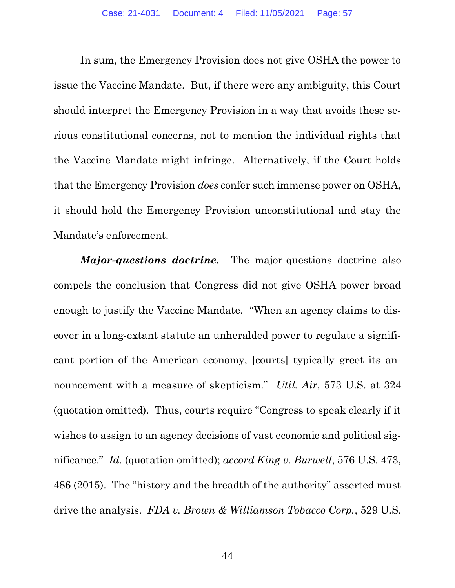In sum, the Emergency Provision does not give OSHA the power to issue the Vaccine Mandate. But, if there were any ambiguity, this Court should interpret the Emergency Provision in a way that avoids these serious constitutional concerns, not to mention the individual rights that the Vaccine Mandate might infringe. Alternatively, if the Court holds that the Emergency Provision does confer such immense power on OSHA, it should hold the Emergency Provision unconstitutional and stay the Mandate's enforcement.

Major-questions doctrine. The major-questions doctrine also compels the conclusion that Congress did not give OSHA power broad enough to justify the Vaccine Mandate. "When an agency claims to discover in a long-extant statute an unheralded power to regulate a significant portion of the American economy, [courts] typically greet its announcement with a measure of skepticism." Util. Air, 573 U.S. at 324 (quotation omitted). Thus, courts require "Congress to speak clearly if it wishes to assign to an agency decisions of vast economic and political significance." Id. (quotation omitted); accord King v. Burwell, 576 U.S. 473, 486 (2015). The "history and the breadth of the authority" asserted must drive the analysis. FDA v. Brown & Williamson Tobacco Corp., 529 U.S.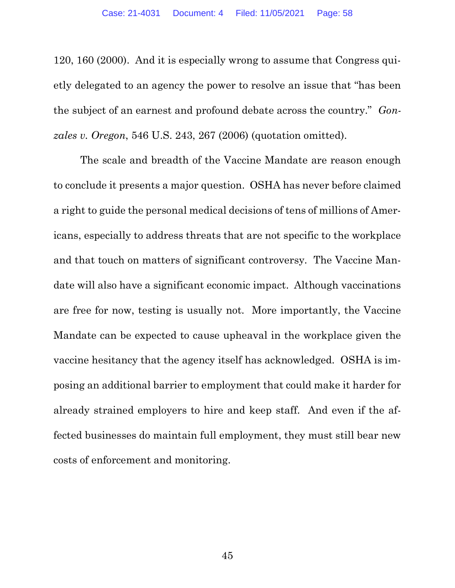120, 160 (2000). And it is especially wrong to assume that Congress quietly delegated to an agency the power to resolve an issue that "has been the subject of an earnest and profound debate across the country." Gonzales v. Oregon, 546 U.S. 243, 267 (2006) (quotation omitted).

The scale and breadth of the Vaccine Mandate are reason enough to conclude it presents a major question. OSHA has never before claimed a right to guide the personal medical decisions of tens of millions of Americans, especially to address threats that are not specific to the workplace and that touch on matters of significant controversy. The Vaccine Mandate will also have a significant economic impact. Although vaccinations are free for now, testing is usually not. More importantly, the Vaccine Mandate can be expected to cause upheaval in the workplace given the vaccine hesitancy that the agency itself has acknowledged. OSHA is imposing an additional barrier to employment that could make it harder for already strained employers to hire and keep staff. And even if the affected businesses do maintain full employment, they must still bear new costs of enforcement and monitoring.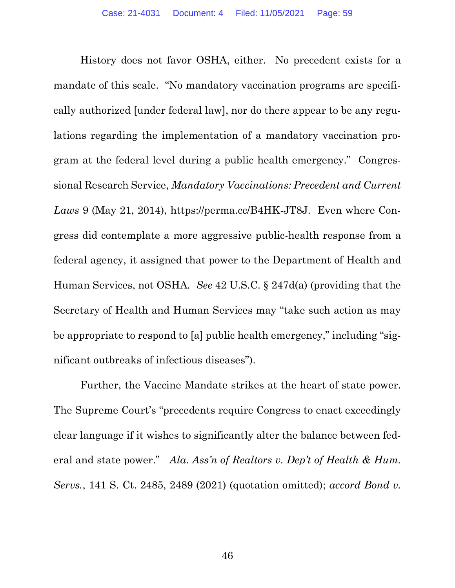History does not favor OSHA, either. No precedent exists for a mandate of this scale. "No mandatory vaccination programs are specifically authorized [under federal law], nor do there appear to be any regulations regarding the implementation of a mandatory vaccination program at the federal level during a public health emergency." Congressional Research Service, Mandatory Vaccinations: Precedent and Current Laws 9 (May 21, 2014), https://perma.cc/B4HK-JT8J. Even where Congress did contemplate a more aggressive public-health response from a federal agency, it assigned that power to the Department of Health and Human Services, not OSHA. See 42 U.S.C. § 247d(a) (providing that the Secretary of Health and Human Services may "take such action as may be appropriate to respond to [a] public health emergency," including "significant outbreaks of infectious diseases").

Further, the Vaccine Mandate strikes at the heart of state power. The Supreme Court's "precedents require Congress to enact exceedingly clear language if it wishes to significantly alter the balance between federal and state power." Ala. Ass'n of Realtors v. Dep't of Health & Hum. Servs., 141 S. Ct. 2485, 2489 (2021) (quotation omitted); accord Bond v.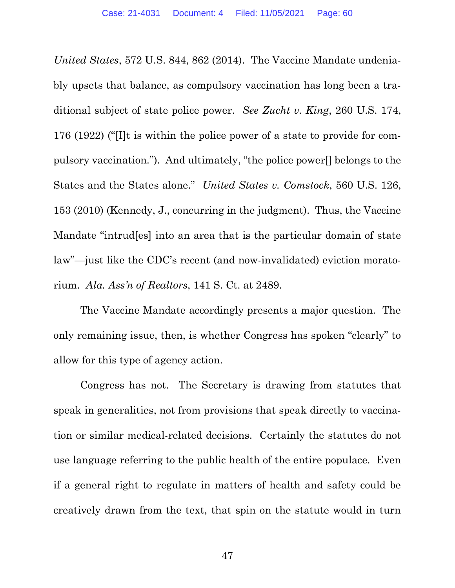United States, 572 U.S. 844, 862 (2014). The Vaccine Mandate undeniably upsets that balance, as compulsory vaccination has long been a traditional subject of state police power. See Zucht v. King, 260 U.S. 174, 176 (1922) ("[I]t is within the police power of a state to provide for compulsory vaccination."). And ultimately, "the police power[] belongs to the States and the States alone." United States v. Comstock, 560 U.S. 126, 153 (2010) (Kennedy, J., concurring in the judgment). Thus, the Vaccine Mandate "intrud[es] into an area that is the particular domain of state law"—just like the CDC's recent (and now-invalidated) eviction moratorium. Ala. Ass'n of Realtors, 141 S. Ct. at 2489.

The Vaccine Mandate accordingly presents a major question. The only remaining issue, then, is whether Congress has spoken "clearly" to allow for this type of agency action.

Congress has not. The Secretary is drawing from statutes that speak in generalities, not from provisions that speak directly to vaccination or similar medical-related decisions. Certainly the statutes do not use language referring to the public health of the entire populace. Even if a general right to regulate in matters of health and safety could be creatively drawn from the text, that spin on the statute would in turn

47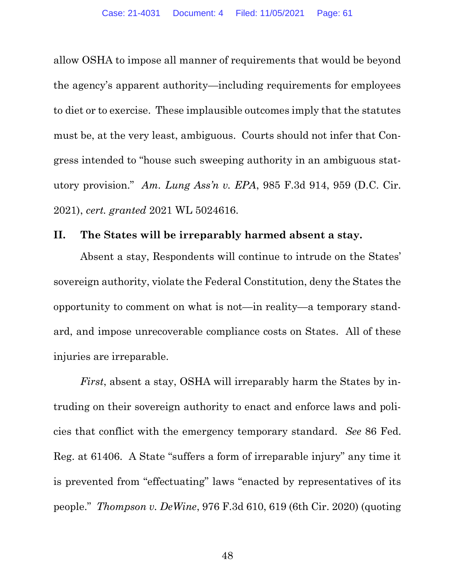allow OSHA to impose all manner of requirements that would be beyond the agency's apparent authority—including requirements for employees to diet or to exercise. These implausible outcomes imply that the statutes must be, at the very least, ambiguous. Courts should not infer that Congress intended to "house such sweeping authority in an ambiguous statutory provision." Am. Lung Ass'n v. EPA, 985 F.3d 914, 959 (D.C. Cir. 2021), cert. granted 2021 WL 5024616.

#### II. The States will be irreparably harmed absent a stay.

Absent a stay, Respondents will continue to intrude on the States' sovereign authority, violate the Federal Constitution, deny the States the opportunity to comment on what is not—in reality—a temporary standard, and impose unrecoverable compliance costs on States. All of these injuries are irreparable.

First, absent a stay, OSHA will irreparably harm the States by intruding on their sovereign authority to enact and enforce laws and policies that conflict with the emergency temporary standard. See 86 Fed. Reg. at 61406. A State "suffers a form of irreparable injury" any time it is prevented from "effectuating" laws "enacted by representatives of its people." Thompson v. DeWine, 976 F.3d 610, 619 (6th Cir. 2020) (quoting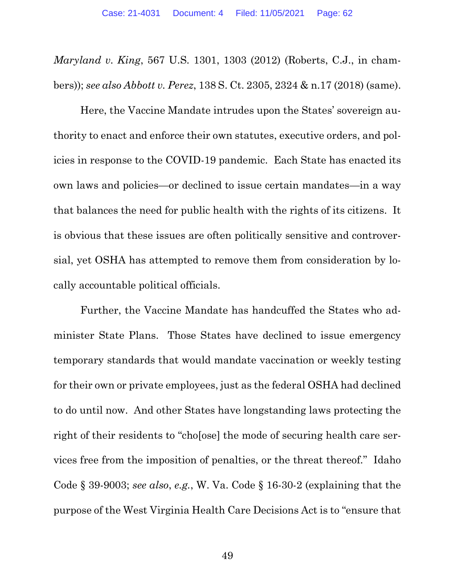Maryland v. King, 567 U.S. 1301, 1303 (2012) (Roberts, C.J., in chambers)); see also Abbott v. Perez, 138 S. Ct. 2305, 2324 & n.17 (2018) (same).

Here, the Vaccine Mandate intrudes upon the States' sovereign authority to enact and enforce their own statutes, executive orders, and policies in response to the COVID-19 pandemic. Each State has enacted its own laws and policies—or declined to issue certain mandates—in a way that balances the need for public health with the rights of its citizens. It is obvious that these issues are often politically sensitive and controversial, yet OSHA has attempted to remove them from consideration by locally accountable political officials.

Further, the Vaccine Mandate has handcuffed the States who administer State Plans. Those States have declined to issue emergency temporary standards that would mandate vaccination or weekly testing for their own or private employees, just as the federal OSHA had declined to do until now. And other States have longstanding laws protecting the right of their residents to "cho[ose] the mode of securing health care services free from the imposition of penalties, or the threat thereof." Idaho Code § 39-9003; see also, e.g., W. Va. Code § 16-30-2 (explaining that the purpose of the West Virginia Health Care Decisions Act is to "ensure that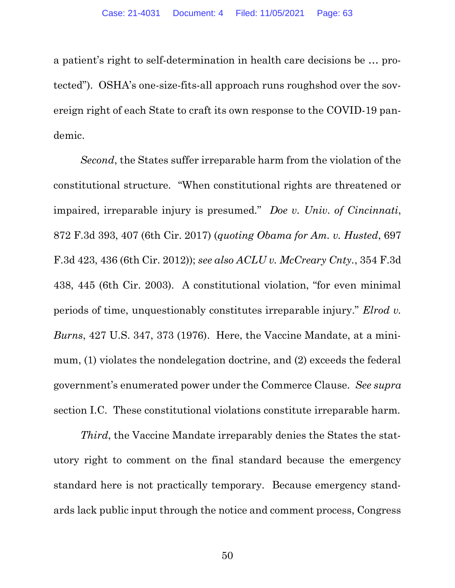a patient's right to self-determination in health care decisions be … protected"). OSHA's one-size-fits-all approach runs roughshod over the sovereign right of each State to craft its own response to the COVID-19 pandemic.

Second, the States suffer irreparable harm from the violation of the constitutional structure. "When constitutional rights are threatened or impaired, irreparable injury is presumed." Doe v. Univ. of Cincinnati, 872 F.3d 393, 407 (6th Cir. 2017) (quoting Obama for Am. v. Husted, 697 F.3d 423, 436 (6th Cir. 2012)); see also ACLU v. McCreary Cnty., 354 F.3d 438, 445 (6th Cir. 2003). A constitutional violation, "for even minimal periods of time, unquestionably constitutes irreparable injury." Elrod v. Burns, 427 U.S. 347, 373 (1976). Here, the Vaccine Mandate, at a minimum, (1) violates the nondelegation doctrine, and (2) exceeds the federal government's enumerated power under the Commerce Clause. See supra section I.C. These constitutional violations constitute irreparable harm.

Third, the Vaccine Mandate irreparably denies the States the statutory right to comment on the final standard because the emergency standard here is not practically temporary. Because emergency standards lack public input through the notice and comment process, Congress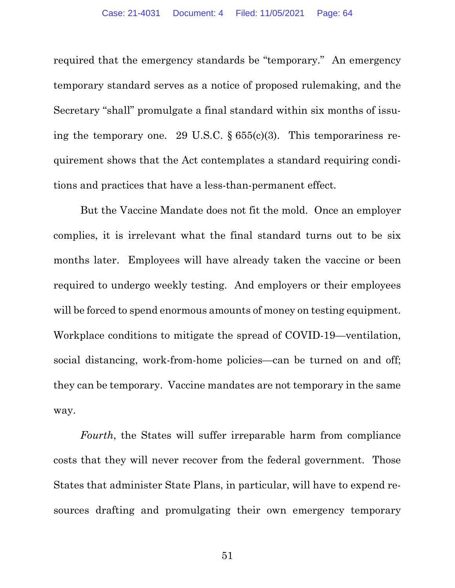required that the emergency standards be "temporary." An emergency temporary standard serves as a notice of proposed rulemaking, and the Secretary "shall" promulgate a final standard within six months of issuing the temporary one. 29 U.S.C. § 655(c)(3). This temporariness requirement shows that the Act contemplates a standard requiring conditions and practices that have a less-than-permanent effect.

But the Vaccine Mandate does not fit the mold. Once an employer complies, it is irrelevant what the final standard turns out to be six months later. Employees will have already taken the vaccine or been required to undergo weekly testing. And employers or their employees will be forced to spend enormous amounts of money on testing equipment. Workplace conditions to mitigate the spread of COVID-19—ventilation, social distancing, work-from-home policies—can be turned on and off; they can be temporary. Vaccine mandates are not temporary in the same way.

Fourth, the States will suffer irreparable harm from compliance costs that they will never recover from the federal government. Those States that administer State Plans, in particular, will have to expend resources drafting and promulgating their own emergency temporary

51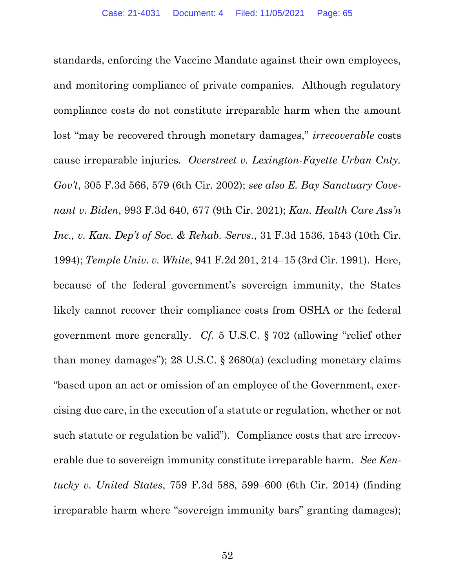standards, enforcing the Vaccine Mandate against their own employees, and monitoring compliance of private companies. Although regulatory compliance costs do not constitute irreparable harm when the amount lost "may be recovered through monetary damages," *irrecoverable* costs cause irreparable injuries. Overstreet v. Lexington-Fayette Urban Cnty. Gov't, 305 F.3d 566, 579 (6th Cir. 2002); see also E. Bay Sanctuary Covenant v. Biden, 993 F.3d 640, 677 (9th Cir. 2021); Kan. Health Care Ass'n Inc., v. Kan. Dep't of Soc. & Rehab. Servs., 31 F.3d 1536, 1543 (10th Cir. 1994); Temple Univ. v. White, 941 F.2d 201, 214–15 (3rd Cir. 1991). Here, because of the federal government's sovereign immunity, the States likely cannot recover their compliance costs from OSHA or the federal government more generally. Cf. 5 U.S.C. § 702 (allowing "relief other than money damages"); 28 U.S.C.  $\S$  2680(a) (excluding monetary claims "based upon an act or omission of an employee of the Government, exercising due care, in the execution of a statute or regulation, whether or not such statute or regulation be valid"). Compliance costs that are irrecoverable due to sovereign immunity constitute irreparable harm. See Kentucky v. United States, 759 F.3d 588, 599–600 (6th Cir. 2014) (finding irreparable harm where "sovereign immunity bars" granting damages);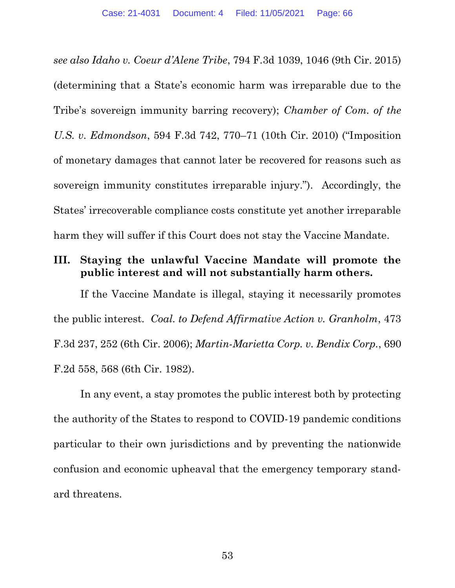see also Idaho v. Coeur d'Alene Tribe, 794 F.3d 1039, 1046 (9th Cir. 2015) (determining that a State's economic harm was irreparable due to the Tribe's sovereign immunity barring recovery); Chamber of Com. of the U.S. v. Edmondson, 594 F.3d 742, 770–71 (10th Cir. 2010) ("Imposition of monetary damages that cannot later be recovered for reasons such as sovereign immunity constitutes irreparable injury."). Accordingly, the States' irrecoverable compliance costs constitute yet another irreparable harm they will suffer if this Court does not stay the Vaccine Mandate.

## III. Staying the unlawful Vaccine Mandate will promote the public interest and will not substantially harm others.

If the Vaccine Mandate is illegal, staying it necessarily promotes the public interest. Coal. to Defend Affirmative Action v. Granholm, 473 F.3d 237, 252 (6th Cir. 2006); Martin-Marietta Corp. v. Bendix Corp., 690 F.2d 558, 568 (6th Cir. 1982).

In any event, a stay promotes the public interest both by protecting the authority of the States to respond to COVID-19 pandemic conditions particular to their own jurisdictions and by preventing the nationwide confusion and economic upheaval that the emergency temporary standard threatens.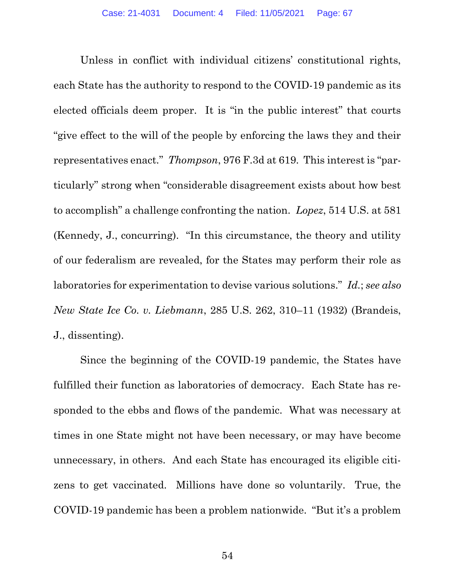Unless in conflict with individual citizens' constitutional rights, each State has the authority to respond to the COVID-19 pandemic as its elected officials deem proper. It is "in the public interest" that courts "give effect to the will of the people by enforcing the laws they and their representatives enact." Thompson, 976 F.3d at 619. This interest is "particularly" strong when "considerable disagreement exists about how best to accomplish" a challenge confronting the nation. Lopez, 514 U.S. at 581 (Kennedy, J., concurring). "In this circumstance, the theory and utility of our federalism are revealed, for the States may perform their role as laboratories for experimentation to devise various solutions." Id.; see also New State Ice Co. v. Liebmann, 285 U.S. 262, 310–11 (1932) (Brandeis, J., dissenting).

Since the beginning of the COVID-19 pandemic, the States have fulfilled their function as laboratories of democracy. Each State has responded to the ebbs and flows of the pandemic. What was necessary at times in one State might not have been necessary, or may have become unnecessary, in others. And each State has encouraged its eligible citizens to get vaccinated. Millions have done so voluntarily. True, the COVID-19 pandemic has been a problem nationwide. "But it's a problem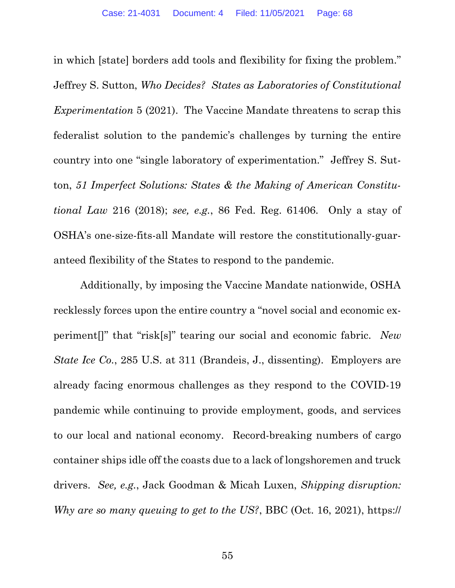in which [state] borders add tools and flexibility for fixing the problem." Jeffrey S. Sutton, Who Decides? States as Laboratories of Constitutional Experimentation 5 (2021). The Vaccine Mandate threatens to scrap this federalist solution to the pandemic's challenges by turning the entire country into one "single laboratory of experimentation." Jeffrey S. Sutton, 51 Imperfect Solutions: States & the Making of American Constitutional Law 216 (2018); see, e.g., 86 Fed. Reg. 61406. Only a stay of OSHA's one-size-fits-all Mandate will restore the constitutionally-guaranteed flexibility of the States to respond to the pandemic.

Additionally, by imposing the Vaccine Mandate nationwide, OSHA recklessly forces upon the entire country a "novel social and economic experiment[]" that "risk[s]" tearing our social and economic fabric. New State Ice Co., 285 U.S. at 311 (Brandeis, J., dissenting). Employers are already facing enormous challenges as they respond to the COVID-19 pandemic while continuing to provide employment, goods, and services to our local and national economy. Record-breaking numbers of cargo container ships idle off the coasts due to a lack of longshoremen and truck drivers. See, e.g., Jack Goodman & Micah Luxen, Shipping disruption: Why are so many queuing to get to the US?, BBC (Oct. 16, 2021), https://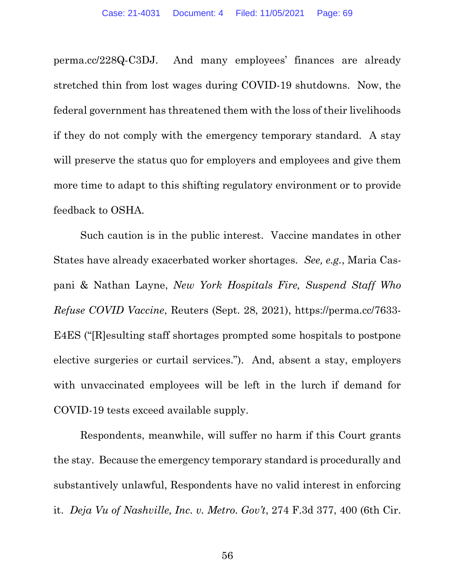perma.cc/228Q-C3DJ. And many employees' finances are already stretched thin from lost wages during COVID-19 shutdowns. Now, the federal government has threatened them with the loss of their livelihoods if they do not comply with the emergency temporary standard. A stay will preserve the status quo for employers and employees and give them more time to adapt to this shifting regulatory environment or to provide feedback to OSHA.

Such caution is in the public interest. Vaccine mandates in other States have already exacerbated worker shortages. See, e.g., Maria Caspani & Nathan Layne, New York Hospitals Fire, Suspend Staff Who Refuse COVID Vaccine, Reuters (Sept. 28, 2021), https://perma.cc/7633- E4ES ("[R]esulting staff shortages prompted some hospitals to postpone elective surgeries or curtail services."). And, absent a stay, employers with unvaccinated employees will be left in the lurch if demand for COVID-19 tests exceed available supply.

Respondents, meanwhile, will suffer no harm if this Court grants the stay. Because the emergency temporary standard is procedurally and substantively unlawful, Respondents have no valid interest in enforcing it. Deja Vu of Nashville, Inc. v. Metro. Gov't, 274 F.3d 377, 400 (6th Cir.

56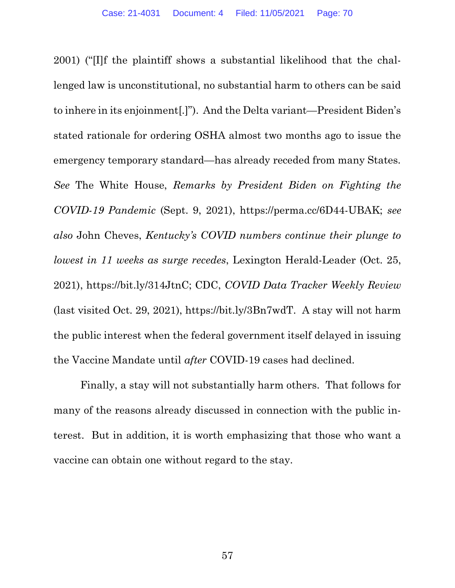2001) ("[I]f the plaintiff shows a substantial likelihood that the challenged law is unconstitutional, no substantial harm to others can be said to inhere in its enjoinment[.]"). And the Delta variant—President Biden's stated rationale for ordering OSHA almost two months ago to issue the emergency temporary standard—has already receded from many States. See The White House, Remarks by President Biden on Fighting the COVID-19 Pandemic (Sept. 9, 2021), https://perma.cc/6D44-UBAK; see also John Cheves, Kentucky's COVID numbers continue their plunge to lowest in 11 weeks as surge recedes, Lexington Herald-Leader (Oct. 25, 2021), https://bit.ly/314JtnC; CDC, COVID Data Tracker Weekly Review (last visited Oct. 29, 2021), https://bit.ly/3Bn7wdT. A stay will not harm the public interest when the federal government itself delayed in issuing the Vaccine Mandate until after COVID-19 cases had declined.

Finally, a stay will not substantially harm others. That follows for many of the reasons already discussed in connection with the public interest. But in addition, it is worth emphasizing that those who want a vaccine can obtain one without regard to the stay.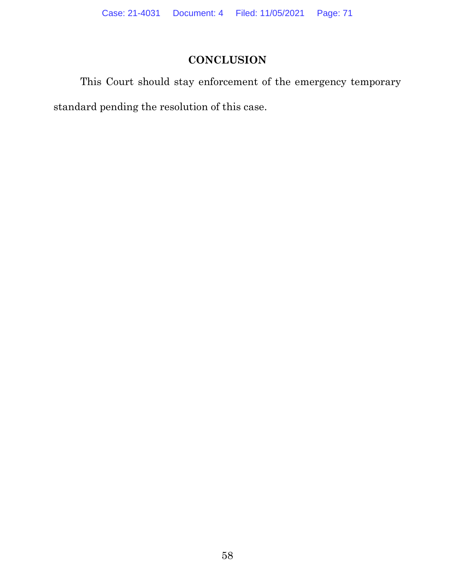# **CONCLUSION**

This Court should stay enforcement of the emergency temporary standard pending the resolution of this case.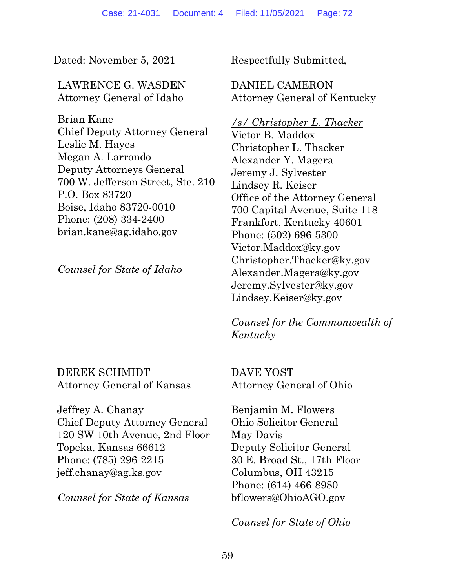Dated: November 5, 2021 Respectfully Submitted,

### LAWRENCE G. WASDEN Attorney General of Idaho

Brian Kane Chief Deputy Attorney General Leslie M. Hayes Megan A. Larrondo Deputy Attorneys General 700 W. Jefferson Street, Ste. 210 P.O. Box 83720 Boise, Idaho 83720-0010 Phone: (208) 334-2400 brian.kane@ag.idaho.gov

Counsel for State of Idaho

## DEREK SCHMIDT Attorney General of Kansas

Jeffrey A. Chanay Chief Deputy Attorney General 120 SW 10th Avenue, 2nd Floor Topeka, Kansas 66612 Phone: (785) 296-2215 jeff.chanay@ag.ks.gov

Counsel for State of Kansas

DANIEL CAMERON Attorney General of Kentucky

### /s/ Christopher L. Thacker

Victor B. Maddox Christopher L. Thacker Alexander Y. Magera Jeremy J. Sylvester Lindsey R. Keiser Office of the Attorney General 700 Capital Avenue, Suite 118 Frankfort, Kentucky 40601 Phone: (502) 696-5300 Victor.Maddox@ky.gov Christopher.Thacker@ky.gov Alexander.Magera@ky.gov Jeremy.Sylvester@ky.gov Lindsey.Keiser@ky.gov

Counsel for the Commonwealth of Kentucky

DAVE YOST Attorney General of Ohio

Benjamin M. Flowers Ohio Solicitor General May Davis Deputy Solicitor General 30 E. Broad St., 17th Floor Columbus, OH 43215 Phone: (614) 466-8980 bflowers@OhioAGO.gov

Counsel for State of Ohio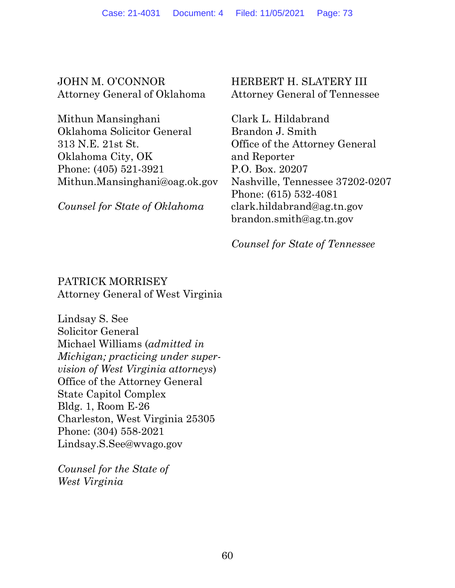JOHN M. O'CONNOR Attorney General of Oklahoma

Mithun Mansinghani Oklahoma Solicitor General 313 N.E. 21st St. Oklahoma City, OK Phone: (405) 521-3921 Mithun.Mansinghani@oag.ok.gov

Counsel for State of Oklahoma

HERBERT H. SLATERY III Attorney General of Tennessee

Clark L. Hildabrand Brandon J. Smith Office of the Attorney General and Reporter P.O. Box. 20207 Nashville, Tennessee 37202-0207 Phone: (615) 532-4081 clark.hildabrand@ag.tn.gov brandon.smith@ag.tn.gov

Counsel for State of Tennessee

## PATRICK MORRISEY Attorney General of West Virginia

Lindsay S. See Solicitor General Michael Williams (admitted in Michigan; practicing under supervision of West Virginia attorneys) Office of the Attorney General State Capitol Complex Bldg. 1, Room E-26 Charleston, West Virginia 25305 Phone: (304) 558-2021 Lindsay.S.See@wvago.gov

Counsel for the State of West Virginia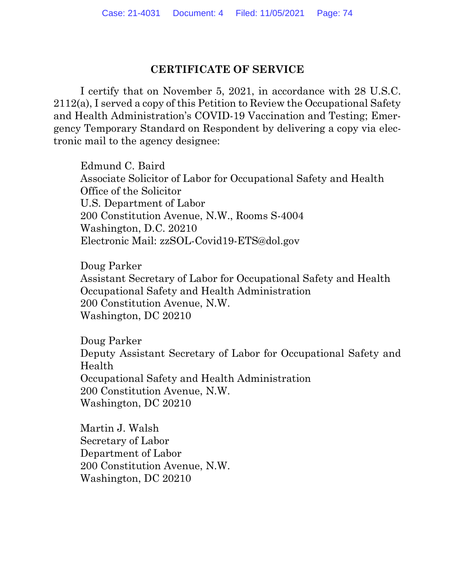## CERTIFICATE OF SERVICE

 I certify that on November 5, 2021, in accordance with 28 U.S.C. 2112(a), I served a copy of this Petition to Review the Occupational Safety and Health Administration's COVID-19 Vaccination and Testing; Emergency Temporary Standard on Respondent by delivering a copy via electronic mail to the agency designee:

 Edmund C. Baird Associate Solicitor of Labor for Occupational Safety and Health Office of the Solicitor U.S. Department of Labor 200 Constitution Avenue, N.W., Rooms S-4004 Washington, D.C. 20210 Electronic Mail: zzSOL-Covid19-ETS@dol.gov

Doug Parker Assistant Secretary of Labor for Occupational Safety and Health Occupational Safety and Health Administration 200 Constitution Avenue, N.W. Washington, DC 20210

Doug Parker Deputy Assistant Secretary of Labor for Occupational Safety and Health Occupational Safety and Health Administration 200 Constitution Avenue, N.W. Washington, DC 20210

Martin J. Walsh Secretary of Labor Department of Labor 200 Constitution Avenue, N.W. Washington, DC 20210